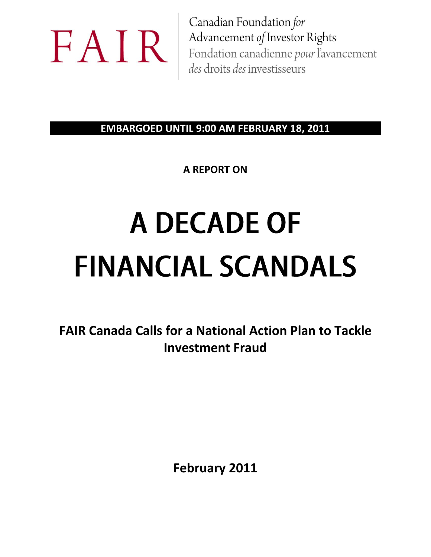

Canadian Foundation for Advancement of Investor Rights Fondation canadienne pour l'avancement des droits des investisseurs

**EMBARGOED UNTIL 9:00 AM FEBRUARY 18, 2011**

**A REPORT ON**

# A DECADE OF **FINANCIAL SCANDALS**

**FAIR Canada Calls for a National Action Plan to Tackle Investment Fraud**

**February 2011**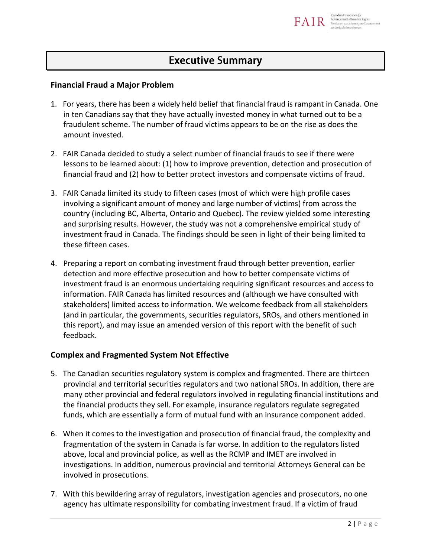

# **Executive Summary**

### **Financial Fraud a Major Problem**

- 1. For years, there has been a widely held belief that financial fraud is rampant in Canada. One in ten Canadians say that they have actually invested money in what turned out to be a fraudulent scheme. The number of fraud victims appears to be on the rise as does the amount invested.
- 2. FAIR Canada decided to study a select number of financial frauds to see if there were lessons to be learned about: (1) how to improve prevention, detection and prosecution of financial fraud and (2) how to better protect investors and compensate victims of fraud.
- 3. FAIR Canada limited its study to fifteen cases (most of which were high profile cases involving a significant amount of money and large number of victims) from across the country (including BC, Alberta, Ontario and Quebec). The review yielded some interesting and surprising results. However, the study was not a comprehensive empirical study of investment fraud in Canada. The findings should be seen in light of their being limited to these fifteen cases.
- 4. Preparing a report on combating investment fraud through better prevention, earlier detection and more effective prosecution and how to better compensate victims of investment fraud is an enormous undertaking requiring significant resources and access to information. FAIR Canada has limited resources and (although we have consulted with stakeholders) limited access to information. We welcome feedback from all stakeholders (and in particular, the governments, securities regulators, SROs, and others mentioned in this report), and may issue an amended version of this report with the benefit of such feedback.

### **Complex and Fragmented System Not Effective**

- 5. The Canadian securities regulatory system is complex and fragmented. There are thirteen provincial and territorial securities regulators and two national SROs. In addition, there are many other provincial and federal regulators involved in regulating financial institutions and the financial products they sell. For example, insurance regulators regulate segregated funds, which are essentially a form of mutual fund with an insurance component added.
- 6. When it comes to the investigation and prosecution of financial fraud, the complexity and fragmentation of the system in Canada is far worse. In addition to the regulators listed above, local and provincial police, as well as the RCMP and IMET are involved in investigations. In addition, numerous provincial and territorial Attorneys General can be involved in prosecutions.
- 7. With this bewildering array of regulators, investigation agencies and prosecutors, no one agency has ultimate responsibility for combating investment fraud. If a victim of fraud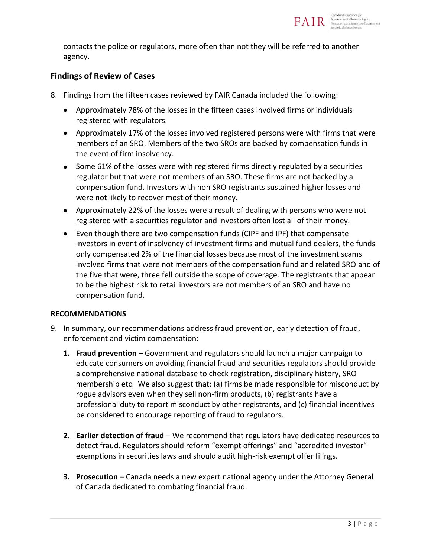

contacts the police or regulators, more often than not they will be referred to another agency.

### **Findings of Review of Cases**

- 8. Findings from the fifteen cases reviewed by FAIR Canada included the following:
	- Approximately 78% of the losses in the fifteen cases involved firms or individuals registered with regulators.
	- Approximately 17% of the losses involved registered persons were with firms that were members of an SRO. Members of the two SROs are backed by compensation funds in the event of firm insolvency.
	- Some 61% of the losses were with registered firms directly regulated by a securities regulator but that were not members of an SRO. These firms are not backed by a compensation fund. Investors with non SRO registrants sustained higher losses and were not likely to recover most of their money.
	- Approximately 22% of the losses were a result of dealing with persons who were not registered with a securities regulator and investors often lost all of their money.
	- Even though there are two compensation funds (CIPF and IPF) that compensate investors in event of insolvency of investment firms and mutual fund dealers, the funds only compensated 2% of the financial losses because most of the investment scams involved firms that were not members of the compensation fund and related SRO and of the five that were, three fell outside the scope of coverage. The registrants that appear to be the highest risk to retail investors are not members of an SRO and have no compensation fund.

### **RECOMMENDATIONS**

- 9. In summary, our recommendations address fraud prevention, early detection of fraud, enforcement and victim compensation:
	- **1. Fraud prevention** Government and regulators should launch a major campaign to educate consumers on avoiding financial fraud and securities regulators should provide a comprehensive national database to check registration, disciplinary history, SRO membership etc. We also suggest that: (a) firms be made responsible for misconduct by rogue advisors even when they sell non-firm products, (b) registrants have a professional duty to report misconduct by other registrants, and (c) financial incentives be considered to encourage reporting of fraud to regulators.
	- **2. Earlier detection of fraud** We recommend that regulators have dedicated resources to detect fraud. Regulators should reform "exempt offerings" and "accredited investor" exemptions in securities laws and should audit high-risk exempt offer filings.
	- **3. Prosecution** Canada needs a new expert national agency under the Attorney General of Canada dedicated to combating financial fraud.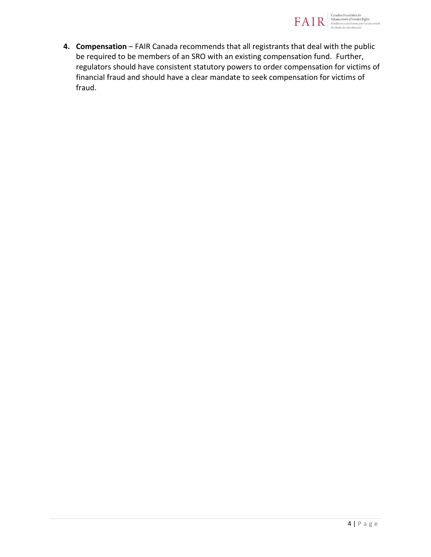

**4. Compensation** – FAIR Canada recommends that all registrants that deal with the public be required to be members of an SRO with an existing compensation fund. Further, regulators should have consistent statutory powers to order compensation for victims of financial fraud and should have a clear mandate to seek compensation for victims of fraud.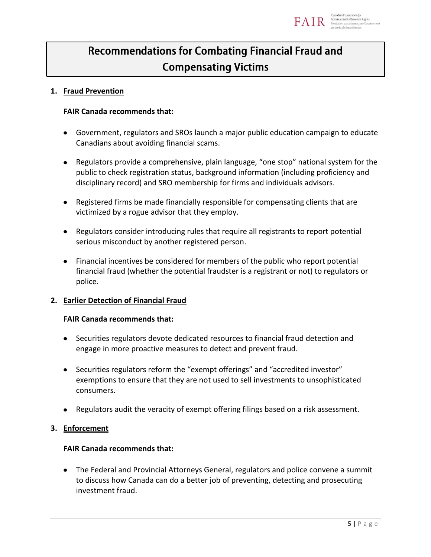

# **Recommendations for Combating Financial Fraud and Compensating Victims**

### **1. Fraud Prevention**

### **FAIR Canada recommends that:**

- Government, regulators and SROs launch a major public education campaign to educate Canadians about avoiding financial scams.
- Regulators provide a comprehensive, plain language, "one stop" national system for the public to check registration status, background information (including proficiency and disciplinary record) and SRO membership for firms and individuals advisors.
- Registered firms be made financially responsible for compensating clients that are victimized by a rogue advisor that they employ.
- Regulators consider introducing rules that require all registrants to report potential serious misconduct by another registered person.
- Financial incentives be considered for members of the public who report potential financial fraud (whether the potential fraudster is a registrant or not) to regulators or police.

### **2. Earlier Detection of Financial Fraud**

### **FAIR Canada recommends that:**

- Securities regulators devote dedicated resources to financial fraud detection and engage in more proactive measures to detect and prevent fraud.
- Securities regulators reform the "exempt offerings" and "accredited investor" exemptions to ensure that they are not used to sell investments to unsophisticated consumers.
- Regulators audit the veracity of exempt offering filings based on a risk assessment.

### **3. Enforcement**

### **FAIR Canada recommends that:**

The Federal and Provincial Attorneys General, regulators and police convene a summit to discuss how Canada can do a better job of preventing, detecting and prosecuting investment fraud.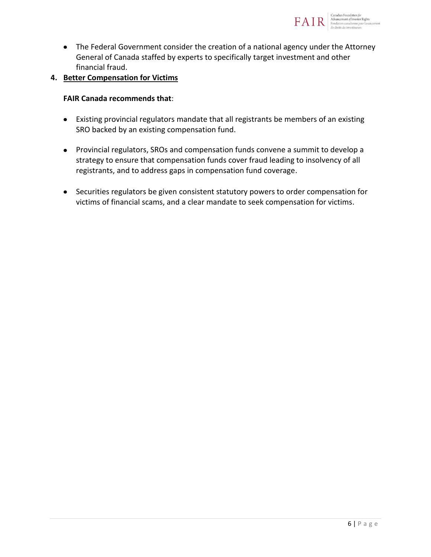

The Federal Government consider the creation of a national agency under the Attorney General of Canada staffed by experts to specifically target investment and other financial fraud.

### **4. Better Compensation for Victims**

### **FAIR Canada recommends that**:

- Existing provincial regulators mandate that all registrants be members of an existing SRO backed by an existing compensation fund.
- Provincial regulators, SROs and compensation funds convene a summit to develop a strategy to ensure that compensation funds cover fraud leading to insolvency of all registrants, and to address gaps in compensation fund coverage.
- Securities regulators be given consistent statutory powers to order compensation for victims of financial scams, and a clear mandate to seek compensation for victims.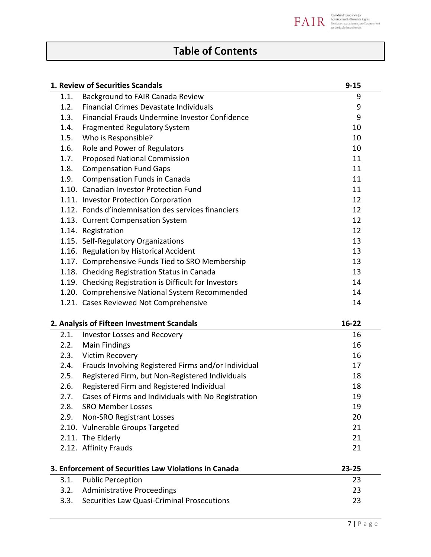

# **Table of Contents**

|                                            | 1. Review of Securities Scandals                       | $9 - 15$  |
|--------------------------------------------|--------------------------------------------------------|-----------|
| 1.1.                                       | Background to FAIR Canada Review                       | 9         |
| 1.2.                                       | <b>Financial Crimes Devastate Individuals</b>          | 9         |
| 1.3.                                       | Financial Frauds Undermine Investor Confidence         | 9         |
| 1.4.                                       | <b>Fragmented Regulatory System</b>                    | 10        |
| 1.5.                                       | Who is Responsible?                                    | 10        |
| 1.6.                                       | Role and Power of Regulators                           | 10        |
| 1.7.                                       | <b>Proposed National Commission</b>                    | 11        |
| 1.8.                                       | <b>Compensation Fund Gaps</b>                          | 11        |
| 1.9.                                       | <b>Compensation Funds in Canada</b>                    | 11        |
|                                            | 1.10. Canadian Investor Protection Fund                | 11        |
|                                            | 1.11. Investor Protection Corporation                  | 12        |
|                                            | 1.12. Fonds d'indemnisation des services financiers    | 12        |
|                                            | 1.13. Current Compensation System                      | 12        |
|                                            | 1.14. Registration                                     | 12        |
|                                            | 1.15. Self-Regulatory Organizations                    | 13        |
|                                            | 1.16. Regulation by Historical Accident                | 13        |
|                                            | 1.17. Comprehensive Funds Tied to SRO Membership       | 13        |
|                                            | 1.18. Checking Registration Status in Canada           | 13        |
|                                            | 1.19. Checking Registration is Difficult for Investors | 14        |
|                                            | 1.20. Comprehensive National System Recommended        | 14        |
|                                            | 1.21. Cases Reviewed Not Comprehensive                 | 14        |
| 2. Analysis of Fifteen Investment Scandals | $16 - 22$                                              |           |
| 2.1.                                       | <b>Investor Losses and Recovery</b>                    | 16        |
| 2.2.                                       | <b>Main Findings</b>                                   | 16        |
| 2.3.                                       | Victim Recovery                                        | 16        |
| 2.4.                                       | Frauds Involving Registered Firms and/or Individual    | 17        |
| 2.5.                                       | Registered Firm, but Non-Registered Individuals        | 18        |
| 2.6.                                       | Registered Firm and Registered Individual              | 18        |
| 2.7.                                       | Cases of Firms and Individuals with No Registration    | 19        |
| 2.8.                                       | <b>SRO Member Losses</b>                               | 19        |
| 2.9.                                       | Non-SRO Registrant Losses                              | 20        |
|                                            | 2.10. Vulnerable Groups Targeted                       | 21        |
|                                            | 2.11. The Elderly                                      | 21        |
|                                            | 2.12. Affinity Frauds                                  | 21        |
|                                            | 3. Enforcement of Securities Law Violations in Canada  | $23 - 25$ |
| 3.1.                                       | <b>Public Perception</b>                               | 23        |
| 3.2.                                       | <b>Administrative Proceedings</b>                      | 23        |
| 3.3.                                       | Securities Law Quasi-Criminal Prosecutions             | 23        |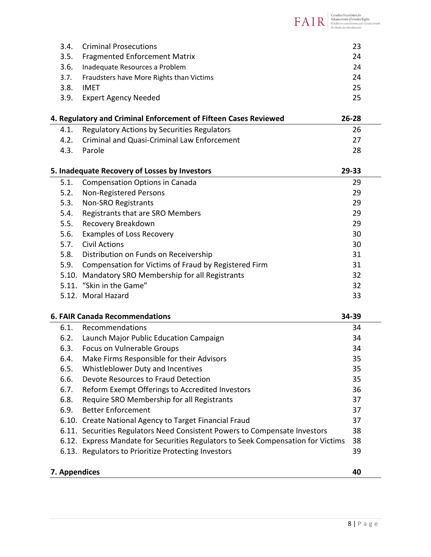|               |                                                                                  | Canadian Foundation for<br>Advancement of Investor Rights<br>Fondation canadienne pour l'avancement<br>des droits des investisseurs |
|---------------|----------------------------------------------------------------------------------|-------------------------------------------------------------------------------------------------------------------------------------|
|               |                                                                                  |                                                                                                                                     |
| 3.4.          | <b>Criminal Prosecutions</b>                                                     | 23                                                                                                                                  |
| 3.5.          | <b>Fragmented Enforcement Matrix</b>                                             | 24                                                                                                                                  |
| 3.6.          | Inadequate Resources a Problem                                                   | 24                                                                                                                                  |
| 3.7.          | Fraudsters have More Rights than Victims                                         | 24                                                                                                                                  |
| 3.8.          | <b>IMET</b>                                                                      | 25                                                                                                                                  |
| 3.9.          | <b>Expert Agency Needed</b>                                                      | 25                                                                                                                                  |
|               | 4. Regulatory and Criminal Enforcement of Fifteen Cases Reviewed                 | $26 - 28$                                                                                                                           |
| 4.1.          | <b>Regulatory Actions by Securities Regulators</b>                               | 26                                                                                                                                  |
| 4.2.          | <b>Criminal and Quasi-Criminal Law Enforcement</b>                               | 27                                                                                                                                  |
| 4.3.          | Parole                                                                           | 28                                                                                                                                  |
|               | 5. Inadequate Recovery of Losses by Investors                                    | 29-33                                                                                                                               |
| 5.1.          | <b>Compensation Options in Canada</b>                                            | 29                                                                                                                                  |
| 5.2.          | Non-Registered Persons                                                           | 29                                                                                                                                  |
| 5.3.          | Non-SRO Registrants                                                              | 29                                                                                                                                  |
| 5.4.          | Registrants that are SRO Members                                                 | 29                                                                                                                                  |
| 5.5.          | Recovery Breakdown                                                               | 29                                                                                                                                  |
| 5.6.          | <b>Examples of Loss Recovery</b>                                                 | 30                                                                                                                                  |
| 5.7.          | <b>Civil Actions</b>                                                             | 30                                                                                                                                  |
|               | 5.8. Distribution on Funds on Receivership                                       | 31                                                                                                                                  |
| 5.9.          | Compensation for Victims of Fraud by Registered Firm                             | 31                                                                                                                                  |
|               | 5.10. Mandatory SRO Membership for all Registrants                               | 32                                                                                                                                  |
|               | 5.11. "Skin in the Game"                                                         | 32                                                                                                                                  |
|               | 5.12. Moral Hazard                                                               | 33                                                                                                                                  |
|               | <b>6. FAIR Canada Recommendations</b>                                            | 34-39                                                                                                                               |
| 6.1.          | Recommendations                                                                  | 34                                                                                                                                  |
| 6.2.          | Launch Major Public Education Campaign                                           | 34                                                                                                                                  |
| 6.3.          | Focus on Vulnerable Groups                                                       | 34                                                                                                                                  |
| 6.4.          | Make Firms Responsible for their Advisors                                        | 35                                                                                                                                  |
| 6.5.          | Whistleblower Duty and Incentives                                                | 35                                                                                                                                  |
| 6.6.          | Devote Resources to Fraud Detection                                              | 35                                                                                                                                  |
| 6.7.          | Reform Exempt Offerings to Accredited Investors                                  | 36                                                                                                                                  |
| 6.8.          | Require SRO Membership for all Registrants                                       | 37                                                                                                                                  |
| 6.9.          | <b>Better Enforcement</b>                                                        | 37                                                                                                                                  |
|               | 6.10. Create National Agency to Target Financial Fraud                           | 37                                                                                                                                  |
|               | 6.11. Securities Regulators Need Consistent Powers to Compensate Investors       | 38                                                                                                                                  |
|               | 6.12. Express Mandate for Securities Regulators to Seek Compensation for Victims | 38                                                                                                                                  |
|               | 6.13. Regulators to Prioritize Protecting Investors                              | 39                                                                                                                                  |
| 7. Appendices |                                                                                  | 40                                                                                                                                  |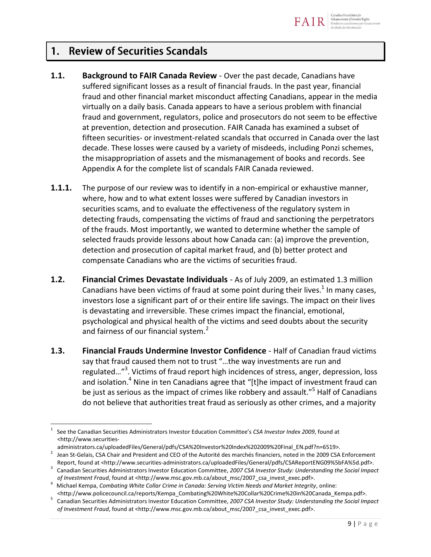

### **Review of Securities Scandals**  $1<sup>1</sup>$

- **1.1. Background to FAIR Canada Review** Over the past decade, Canadians have suffered significant losses as a result of financial frauds. In the past year, financial fraud and other financial market misconduct affecting Canadians, appear in the media virtually on a daily basis. Canada appears to have a serious problem with financial fraud and government, regulators, police and prosecutors do not seem to be effective at prevention, detection and prosecution. FAIR Canada has examined a subset of fifteen securities- or investment-related scandals that occurred in Canada over the last decade. These losses were caused by a variety of misdeeds, including Ponzi schemes, the misappropriation of assets and the mismanagement of books and records. See Appendix A for the complete list of scandals FAIR Canada reviewed.
- **1.1.1.** The purpose of our review was to identify in a non-empirical or exhaustive manner, where, how and to what extent losses were suffered by Canadian investors in securities scams, and to evaluate the effectiveness of the regulatory system in detecting frauds, compensating the victims of fraud and sanctioning the perpetrators of the frauds. Most importantly, we wanted to determine whether the sample of selected frauds provide lessons about how Canada can: (a) improve the prevention, detection and prosecution of capital market fraud, and (b) better protect and compensate Canadians who are the victims of securities fraud.
- **1.2. Financial Crimes Devastate Individuals** As of July 2009, an estimated 1.3 million Canadians have been victims of fraud at some point during their lives.<sup>1</sup> In many cases, investors lose a significant part of or their entire life savings. The impact on their lives is devastating and irreversible. These crimes impact the financial, emotional, psychological and physical health of the victims and seed doubts about the security and fairness of our financial system.<sup>2</sup>
- **1.3. Financial Frauds Undermine Investor Confidence** Half of Canadian fraud victims say that fraud caused them not to trust "…the way investments are run and regulated..."<sup>3</sup>. Victims of fraud report high incidences of stress, anger, depression, loss and isolation.<sup>4</sup> Nine in ten Canadians agree that "[t]he impact of investment fraud can be just as serious as the impact of crimes like robbery and assault."<sup>5</sup> Half of Canadians do not believe that authorities treat fraud as seriously as other crimes, and a majority

 $\overline{a}$ 1 See the Canadian Securities Administrators Investor Education Committee's *CSA Investor Index 2009*, found at <http://www.securities-

administrators.ca/uploadedFiles/General/pdfs/CSA%20Investor%20Index%202009%20Final\_EN.pdf?n=6519>.

<sup>2</sup> Jean St-Gelais, CSA Chair and President and CEO of the Autorité des marchés financiers, noted in the 2009 CSA Enforcement Report, found at [<http://www.securities-administrators.ca/uploadedFiles/General/pdfs/CSAReportENG09%5bFA%5d.pdf>](http://www.securities-administrators.ca/uploadedFiles/General/pdfs/CSAReportENG09%5bFA%5d.pdf).

<sup>3</sup> Canadian Securities Administrators Investor Education Committee, *2007 CSA Investor Study: Understanding the Social Impact of Investment Fraud*, found at <http://www.msc.gov.mb.ca/about\_msc/2007\_csa\_invest\_exec.pdf>.

<sup>4</sup> Michael Kempa, *Combating White Collar Crime in Canada: Serving Victim Needs and Market Integrity*, online: <http://www.policecouncil.ca/reports/Kempa\_Combating%20White%20Collar%20Crime%20in%20Canada\_Kempa.pdf>.

<sup>5</sup> Canadian Securities Administrators Investor Education Committee, *2007 CSA Investor Study: Understanding the Social Impact of Investment Fraud*, found at <http://www.msc.gov.mb.ca/about\_msc/2007\_csa\_invest\_exec.pdf>.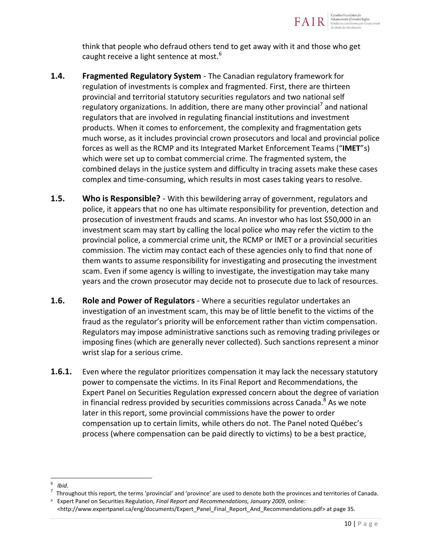

think that people who defraud others tend to get away with it and those who get caught receive a light sentence at most.<sup>6</sup>

- **1.4. Fragmented Regulatory System** The Canadian regulatory framework for regulation of investments is complex and fragmented. First, there are thirteen provincial and territorial statutory securities regulators and two national self regulatory organizations. In addition, there are many other provincial<sup>7</sup> and national regulators that are involved in regulating financial institutions and investment products. When it comes to enforcement, the complexity and fragmentation gets much worse, as it includes provincial crown prosecutors and local and provincial police forces as well as the RCMP and its Integrated Market Enforcement Teams ("**IMET**"s) which were set up to combat commercial crime. The fragmented system, the combined delays in the justice system and difficulty in tracing assets make these cases complex and time-consuming, which results in most cases taking years to resolve.
- **1.5. Who is Responsible?**  With this bewildering array of government, regulators and police, it appears that no one has ultimate responsibility for prevention, detection and prosecution of investment frauds and scams. An investor who has lost \$50,000 in an investment scam may start by calling the local police who may refer the victim to the provincial police, a commercial crime unit, the RCMP or IMET or a provincial securities commission. The victim may contact each of these agencies only to find that none of them wants to assume responsibility for investigating and prosecuting the investment scam. Even if some agency is willing to investigate, the investigation may take many years and the crown prosecutor may decide not to prosecute due to lack of resources.
- **1.6. Role and Power of Regulators** Where a securities regulator undertakes an investigation of an investment scam, this may be of little benefit to the victims of the fraud as the regulator's priority will be enforcement rather than victim compensation. Regulators may impose administrative sanctions such as removing trading privileges or imposing fines (which are generally never collected). Such sanctions represent a minor wrist slap for a serious crime.
- **1.6.1.** Even where the regulator prioritizes compensation it may lack the necessary statutory power to compensate the victims. In its Final Report and Recommendations, the Expert Panel on Securities Regulation expressed concern about the degree of variation in financial redress provided by securities commissions across Canada.<sup>8</sup> As we note later in this report, some provincial commissions have the power to order compensation up to certain limits, while others do not. The Panel noted Québec's process (where compensation can be paid directly to victims) to be a best practice,

 $\overline{a}$ <sup>6</sup>*Ibid*.

<sup>7</sup> Throughout this report, the terms 'provincial' and 'province' are used to denote both the provinces and territories of Canada. <sup>8</sup> Expert Panel on Securities Regulation, *Final Report and Recommendations, January 2009*, online:

<sup>&</sup>lt;http://www.expertpanel.ca/eng/documents/Expert\_Panel\_Final\_Report\_And\_Recommendations.pdf> at page 35.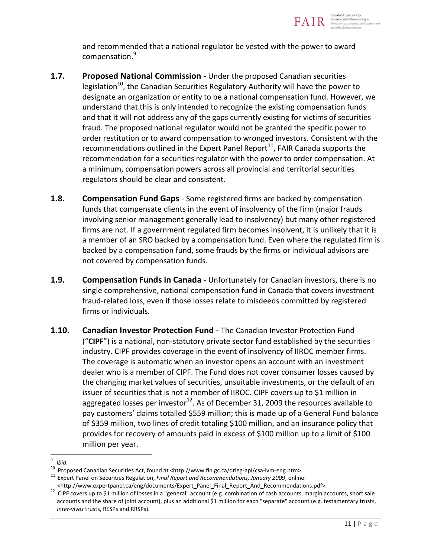

and recommended that a national regulator be vested with the power to award compensation.<sup>9</sup>

- **1.7. Proposed National Commission** Under the proposed Canadian securities legislation<sup>10</sup>, the Canadian Securities Regulatory Authority will have the power to designate an organization or entity to be a national compensation fund. However, we understand that this is only intended to recognize the existing compensation funds and that it will not address any of the gaps currently existing for victims of securities fraud. The proposed national regulator would not be granted the specific power to order restitution or to award compensation to wronged investors. Consistent with the recommendations outlined in the Expert Panel Report $^{11}$ , FAIR Canada supports the recommendation for a securities regulator with the power to order compensation. At a minimum, compensation powers across all provincial and territorial securities regulators should be clear and consistent.
- **1.8. Compensation Fund Gaps** Some registered firms are backed by compensation funds that compensate clients in the event of insolvency of the firm (major frauds involving senior management generally lead to insolvency) but many other registered firms are not. If a government regulated firm becomes insolvent, it is unlikely that it is a member of an SRO backed by a compensation fund. Even where the regulated firm is backed by a compensation fund, some frauds by the firms or individual advisors are not covered by compensation funds.
- **1.9. Compensation Funds in Canada** Unfortunately for Canadian investors, there is no single comprehensive, national compensation fund in Canada that covers investment fraud-related loss, even if those losses relate to misdeeds committed by registered firms or individuals.
- **1.10. Canadian Investor Protection Fund** The Canadian Investor Protection Fund ("**CIPF**") is a national, non-statutory private sector fund established by the securities industry. CIPF provides coverage in the event of insolvency of IIROC member firms. The coverage is automatic when an investor opens an account with an investment dealer who is a member of CIPF. The Fund does not cover consumer losses caused by the changing market values of securities, unsuitable investments, or the default of an issuer of securities that is not a member of IIROC. CIPF covers up to \$1 million in aggregated losses per investor<sup>12</sup>. As of December 31, 2009 the resources available to pay customers' claims totalled \$559 million; this is made up of a General Fund balance of \$359 million, two lines of credit totaling \$100 million, and an insurance policy that provides for recovery of amounts paid in excess of \$100 million up to a limit of \$100 million per year.

 $\overline{a}$ 9 *Ibid*.

<sup>&</sup>lt;sup>10</sup> Proposed Canadian Securities Act, found at <http://www.fin.gc.ca/drleg-apl/csa-lvm-eng.htm>.

<sup>&</sup>lt;sup>11</sup> Expert Panel on Securities Regulation, *Final Report and Recommendations, January 2009*, online:

<sup>&</sup>lt;http://www.expertpanel.ca/eng/documents/Expert\_Panel\_Final\_Report\_And\_Recommendations.pdf>.

<sup>12</sup> CIPF covers up to \$1 million of losses in a "general" account (e.g. combination of cash accounts, margin accounts, short sale accounts and the share of joint account), plus an additional \$1 million for each "separate" account (e.g. testamentary trusts, *inter-vivos* trusts, RESPs and RRSPs).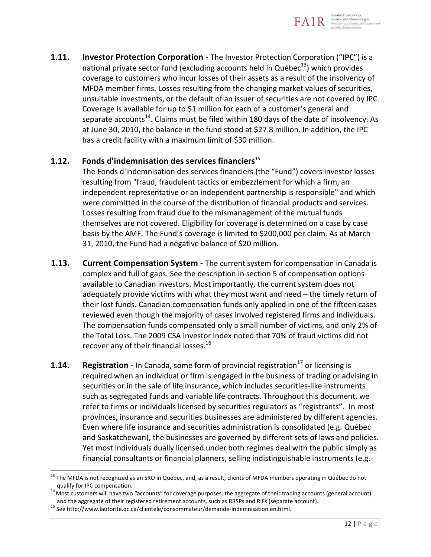

**1.11. Investor Protection Corporation** - The Investor Protection Corporation ("**IPC**") is a national private sector fund (excluding accounts held in Québec $^{13}$ ) which provides coverage to customers who incur losses of their assets as a result of the insolvency of MFDA member firms. Losses resulting from the changing market values of securities, unsuitable investments, or the default of an issuer of securities are not covered by IPC. Coverage is available for up to \$1 million for each of a customer's general and separate accounts<sup>14</sup>. Claims must be filed within 180 days of the date of insolvency. As at June 30, 2010, the balance in the fund stood at \$27.8 million. In addition, the IPC has a credit facility with a maximum limit of \$30 million.

### **1.12. Fonds d'indemnisation des services financiers**<sup>15</sup>

The Fonds d'indemnisation des services financiers (the "Fund") covers investor losses resulting from "fraud, fraudulent tactics or embezzlement for which a firm, an independent representative or an independent partnership is responsible" and which were committed in the course of the distribution of financial products and services. Losses resulting from fraud due to the mismanagement of the mutual funds themselves are not covered. Eligibility for coverage is determined on a case by case basis by the AMF. The Fund's coverage is limited to \$200,000 per claim. As at March 31, 2010, the Fund had a negative balance of \$20 million.

- **1.13. Current Compensation System** The current system for compensation in Canada is complex and full of gaps. See the description in section 5 of compensation options available to Canadian investors. Most importantly, the current system does not adequately provide victims with what they most want and need – the timely return of their lost funds. Canadian compensation funds only applied in one of the fifteen cases reviewed even though the majority of cases involved registered firms and individuals. The compensation funds compensated only a small number of victims, and only 2% of the Total Loss. The 2009 CSA Investor Index noted that 70% of fraud victims did not recover any of their financial losses.<sup>16</sup>
- **1.14.** Registration In Canada, some form of provincial registration<sup>17</sup> or licensing is required when an individual or firm is engaged in the business of trading or advising in securities or in the sale of life insurance, which includes securities-like instruments such as segregated funds and variable life contracts. Throughout this document, we refer to firms or individuals licensed by securities regulators as "registrants". In most provinces, insurance and securities businesses are administered by different agencies. Even where life insurance and securities administration is consolidated (e.g. Québec and Saskatchewan), the businesses are governed by different sets of laws and policies. Yet most individuals dually licensed under both regimes deal with the public simply as financial consultants or financial planners, selling indistinguishable instruments (e.g.

<sup>&</sup>lt;sup>13</sup> The MFDA is not recognized as an SRO in Quebec, and, as a result, clients of MFDA members operating in Québec do not qualify for IPC compensation.

<sup>14</sup> Most customers will have two "accounts" for coverage purposes, the aggregate of their trading accounts (general account) and the aggregate of their registered retirement accounts, such as RRSPs and RIFs (separate account).

<sup>15</sup> Se[e http://www.lautorite.qc.ca/clientele/consommateur/demande-indemnisation.en.html.](http://www.lautorite.qc.ca/clientele/consommateur/demande-indemnisation.en.html)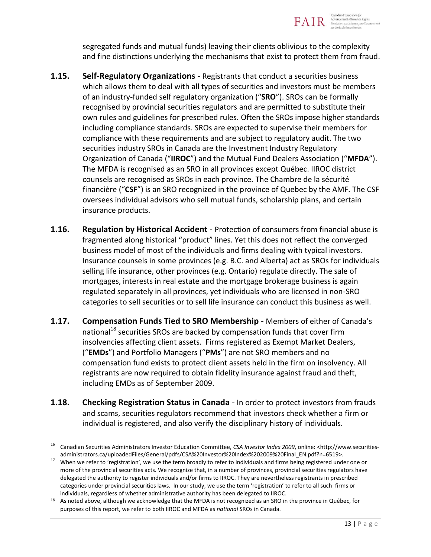

segregated funds and mutual funds) leaving their clients oblivious to the complexity and fine distinctions underlying the mechanisms that exist to protect them from fraud.

- **1.15. Self-Regulatory Organizations** Registrants that conduct a securities business which allows them to deal with all types of securities and investors must be members of an industry-funded self regulatory organization ("**SRO**"). SROs can be formally recognised by provincial securities regulators and are permitted to substitute their own rules and guidelines for prescribed rules. Often the SROs impose higher standards including compliance standards. SROs are expected to supervise their members for compliance with these requirements and are subject to regulatory audit. The two securities industry SROs in Canada are the Investment Industry Regulatory Organization of Canada ("**IIROC**") and the Mutual Fund Dealers Association ("**MFDA**"). The MFDA is recognised as an SRO in all provinces except Québec. IIROC district counsels are recognised as SROs in each province. The Chambre de la sécurité financière ("**CSF**") is an SRO recognized in the province of Quebec by the AMF. The CSF oversees individual advisors who sell mutual funds, scholarship plans, and certain insurance products.
- **1.16. Regulation by Historical Accident** Protection of consumers from financial abuse is fragmented along historical "product" lines. Yet this does not reflect the converged business model of most of the individuals and firms dealing with typical investors. Insurance counsels in some provinces (e.g. B.C. and Alberta) act as SROs for individuals selling life insurance, other provinces (e.g. Ontario) regulate directly. The sale of mortgages, interests in real estate and the mortgage brokerage business is again regulated separately in all provinces, yet individuals who are licensed in non-SRO categories to sell securities or to sell life insurance can conduct this business as well.
- **1.17. Compensation Funds Tied to SRO Membership** Members of either of Canada's national<sup>18</sup> securities SROs are backed by compensation funds that cover firm insolvencies affecting client assets. Firms registered as Exempt Market Dealers, ("**EMDs**") and Portfolio Managers ("**PMs**") are not SRO members and no compensation fund exists to protect client assets held in the firm on insolvency. All registrants are now required to obtain fidelity insurance against fraud and theft, including EMDs as of September 2009.
- **1.18. Checking Registration Status in Canada** In order to protect investors from frauds and scams, securities regulators recommend that investors check whether a firm or individual is registered, and also verify the disciplinary history of individuals.

 $\frac{1}{16}$  Canadian Securities Administrators Investor Education Committee, *CSA Investor Index 2009*, online: <http://www.securitiesadministrators.ca/uploadedFiles/General/pdfs/CSA%20Investor%20Index%202009%20Final\_EN.pdf?n=6519>.

<sup>&</sup>lt;sup>17</sup> When we refer to 'registration', we use the term broadly to refer to individuals and firms being registered under one or more of the provincial securities acts. We recognize that, in a number of provinces, provincial securities regulators have delegated the authority to register individuals and/or firms to IIROC. They are nevertheless registrants in prescribed categories under provincial securities laws. In our study, we use the term 'registration' to refer to all such firms or individuals, regardless of whether administrative authority has been delegated to IIROC.

 $18$  As noted above, although we acknowledge that the MFDA is not recognized as an SRO in the province in Québec, for purposes of this report, we refer to both IIROC and MFDA as *national* SROs in Canada.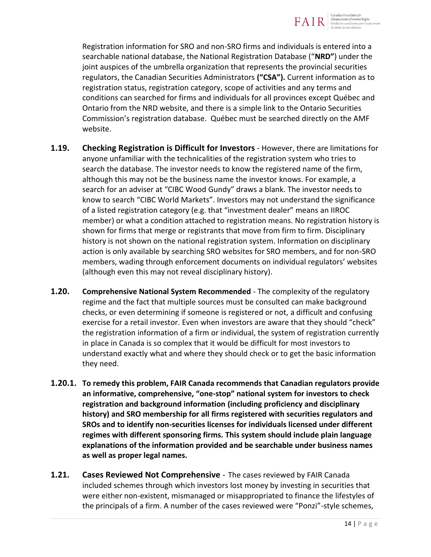

Registration information for SRO and non-SRO firms and individuals is entered into a searchable national database, the National Registration Database ("**NRD"**) under the joint auspices of the umbrella organization that represents the provincial securities regulators, the Canadian Securities Administrators **("CSA").** Current information as to registration status, registration category, scope of activities and any terms and conditions can searched for firms and individuals for all provinces except Québec and Ontario from the NRD website, and there is a simple link to the Ontario Securities Commission's registration database. Québec must be searched directly on the AMF website.

- **1.19. Checking Registration is Difficult for Investors** However, there are limitations for anyone unfamiliar with the technicalities of the registration system who tries to search the database. The investor needs to know the registered name of the firm, although this may not be the business name the investor knows. For example, a search for an adviser at "CIBC Wood Gundy" draws a blank. The investor needs to know to search "CIBC World Markets". Investors may not understand the significance of a listed registration category (e.g. that "investment dealer" means an IIROC member) or what a condition attached to registration means. No registration history is shown for firms that merge or registrants that move from firm to firm. Disciplinary history is not shown on the national registration system. Information on disciplinary action is only available by searching SRO websites for SRO members, and for non-SRO members, wading through enforcement documents on individual regulators' websites (although even this may not reveal disciplinary history).
- **1.20. Comprehensive National System Recommended** The complexity of the regulatory regime and the fact that multiple sources must be consulted can make background checks, or even determining if someone is registered or not, a difficult and confusing exercise for a retail investor. Even when investors are aware that they should "check" the registration information of a firm or individual, the system of registration currently in place in Canada is so complex that it would be difficult for most investors to understand exactly what and where they should check or to get the basic information they need.
- **1.20.1. To remedy this problem, FAIR Canada recommends that Canadian regulators provide an informative, comprehensive, "one-stop" national system for investors to check registration and background information (including proficiency and disciplinary history) and SRO membership for all firms registered with securities regulators and SROs and to identify non-securities licenses for individuals licensed under different regimes with different sponsoring firms. This system should include plain language explanations of the information provided and be searchable under business names as well as proper legal names.**
- **1.21. Cases Reviewed Not Comprehensive** The cases reviewed by FAIR Canada included schemes through which investors lost money by investing in securities that were either non-existent, mismanaged or misappropriated to finance the lifestyles of the principals of a firm. A number of the cases reviewed were "Ponzi"-style schemes,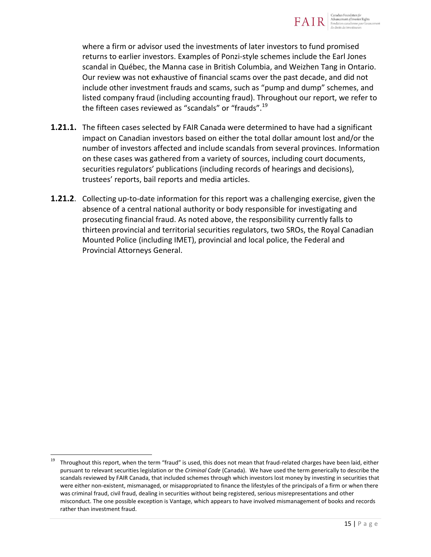

where a firm or advisor used the investments of later investors to fund promised returns to earlier investors. Examples of Ponzi-style schemes include the Earl Jones scandal in Québec, the Manna case in British Columbia, and Weizhen Tang in Ontario. Our review was not exhaustive of financial scams over the past decade, and did not include other investment frauds and scams, such as "pump and dump" schemes, and listed company fraud (including accounting fraud). Throughout our report, we refer to the fifteen cases reviewed as "scandals" or "frauds". $19$ 

- **1.21.1.** The fifteen cases selected by FAIR Canada were determined to have had a significant impact on Canadian investors based on either the total dollar amount lost and/or the number of investors affected and include scandals from several provinces. Information on these cases was gathered from a variety of sources, including court documents, securities regulators' publications (including records of hearings and decisions), trustees' reports, bail reports and media articles.
- **1.21.2**. Collecting up-to-date information for this report was a challenging exercise, given the absence of a central national authority or body responsible for investigating and prosecuting financial fraud. As noted above, the responsibility currently falls to thirteen provincial and territorial securities regulators, two SROs, the Royal Canadian Mounted Police (including IMET), provincial and local police, the Federal and Provincial Attorneys General.

<sup>19</sup> Throughout this report, when the term "fraud" is used, this does not mean that fraud-related charges have been laid, either pursuant to relevant securities legislation or the *Criminal Code* (Canada). We have used the term generically to describe the scandals reviewed by FAIR Canada, that included schemes through which investors lost money by investing in securities that were either non-existent, mismanaged, or misappropriated to finance the lifestyles of the principals of a firm or when there was criminal fraud, civil fraud, dealing in securities without being registered, serious misrepresentations and other misconduct. The one possible exception is Vantage, which appears to have involved mismanagement of books and records rather than investment fraud.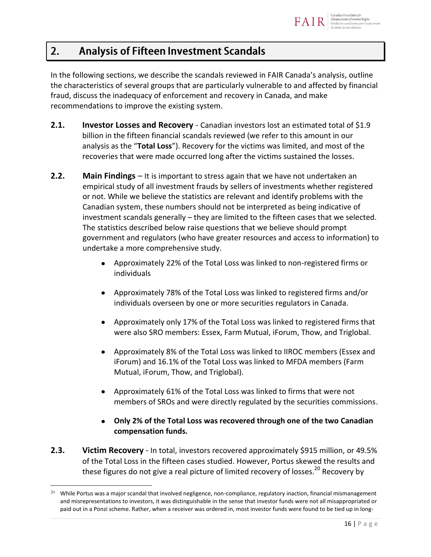### **Analysis of Fifteen Investment Scandals**  $2.$

In the following sections, we describe the scandals reviewed in FAIR Canada's analysis, outline the characteristics of several groups that are particularly vulnerable to and affected by financial fraud, discuss the inadequacy of enforcement and recovery in Canada, and make recommendations to improve the existing system.

- **2.1.** Investor Losses and Recovery Canadian investors lost an estimated total of \$1.9 billion in the fifteen financial scandals reviewed (we refer to this amount in our analysis as the "**Total Loss**"). Recovery for the victims was limited, and most of the recoveries that were made occurred long after the victims sustained the losses.
- **2.2. Main Findings** It is important to stress again that we have not undertaken an empirical study of all investment frauds by sellers of investments whether registered or not. While we believe the statistics are relevant and identify problems with the Canadian system, these numbers should not be interpreted as being indicative of investment scandals generally – they are limited to the fifteen cases that we selected. The statistics described below raise questions that we believe should prompt government and regulators (who have greater resources and access to information) to undertake a more comprehensive study.
	- Approximately 22% of the Total Loss was linked to non-registered firms or individuals
	- Approximately 78% of the Total Loss was linked to registered firms and/or individuals overseen by one or more securities regulators in Canada.
	- Approximately only 17% of the Total Loss was linked to registered firms that were also SRO members: Essex, Farm Mutual, iForum, Thow, and Triglobal.
	- Approximately 8% of the Total Loss was linked to IIROC members (Essex and  $\bullet$ iForum) and 16.1% of the Total Loss was linked to MFDA members (Farm Mutual, iForum, Thow, and Triglobal).
	- Approximately 61% of the Total Loss was linked to firms that were not members of SROs and were directly regulated by the securities commissions.
	- **Only 2% of the Total Loss was recovered through one of the two Canadian compensation funds.**
- **2.3. Victim Recovery** In total, investors recovered approximately \$915 million, or 49.5% of the Total Loss in the fifteen cases studied. However, Portus skewed the results and these figures do not give a real picture of limited recovery of losses.<sup>20</sup> Recovery by

 $\overline{a}$  $^{20}$  While Portus was a major scandal that involved negligence, non-compliance, regulatory inaction, financial mismanagement and misrepresentations to investors, it was distinguishable in the sense that investor funds were not all misappropriated or paid out in a Ponzi scheme. Rather, when a receiver was ordered in, most investor funds were found to be tied up in long-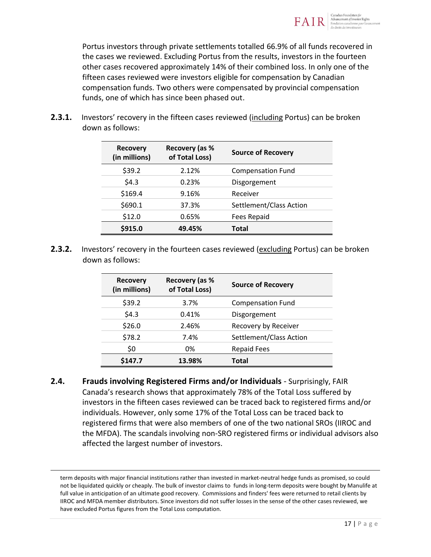

Portus investors through private settlements totalled 66.9% of all funds recovered in the cases we reviewed. Excluding Portus from the results, investors in the fourteen other cases recovered approximately 14% of their combined loss. In only one of the fifteen cases reviewed were investors eligible for compensation by Canadian compensation funds. Two others were compensated by provincial compensation funds, one of which has since been phased out.

**2.3.1.** Investors' recovery in the fifteen cases reviewed (including Portus) can be broken down as follows:

| <b>Recovery</b><br>(in millions) | Recovery (as %<br>of Total Loss) | <b>Source of Recovery</b> |
|----------------------------------|----------------------------------|---------------------------|
| \$39.2                           | 2.12%                            | <b>Compensation Fund</b>  |
| \$4.3                            | 0.23%                            | Disgorgement              |
| \$169.4                          | 9.16%                            | Receiver                  |
| \$690.1                          | 37.3%                            | Settlement/Class Action   |
| \$12.0                           | 0.65%                            | <b>Fees Repaid</b>        |
| \$915.0                          | 49.45%                           | <b>Total</b>              |

**2.3.2.** Investors' recovery in the fourteen cases reviewed (excluding Portus) can be broken down as follows:

| <b>Recovery</b><br>(in millions) | Recovery (as %<br>of Total Loss) | <b>Source of Recovery</b> |
|----------------------------------|----------------------------------|---------------------------|
| \$39.2                           | 3.7%                             | <b>Compensation Fund</b>  |
| \$4.3                            | 0.41%                            | Disgorgement              |
| \$26.0                           | 2.46%                            | Recovery by Receiver      |
| \$78.2                           | 7.4%                             | Settlement/Class Action   |
| \$0                              | 0%                               | <b>Repaid Fees</b>        |
| \$147.7                          | 13.98%                           | <b>Total</b>              |

**2.4. Frauds involving Registered Firms and/or Individuals** - Surprisingly, FAIR Canada's research shows that approximately 78% of the Total Loss suffered by investors in the fifteen cases reviewed can be traced back to registered firms and/or individuals. However, only some 17% of the Total Loss can be traced back to registered firms that were also members of one of the two national SROs (IIROC and the MFDA). The scandals involving non-SRO registered firms or individual advisors also affected the largest number of investors.

term deposits with major financial institutions rather than invested in market-neutral hedge funds as promised, so could not be liquidated quickly or cheaply. The bulk of investor claims to funds in long-term deposits were bought by Manulife at full value in anticipation of an ultimate good recovery. Commissions and finders' fees were returned to retail clients by IIROC and MFDA member distributors. Since investors did not suffer losses in the sense of the other cases reviewed, we have excluded Portus figures from the Total Loss computation.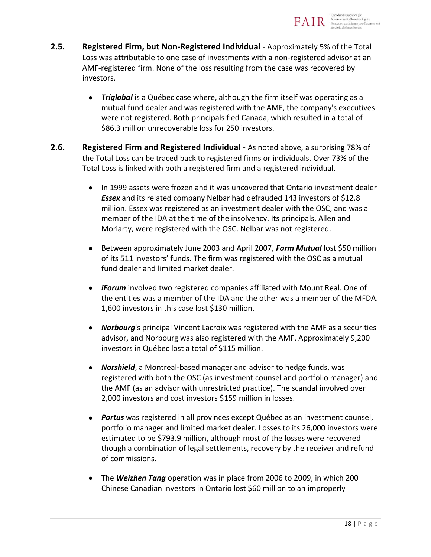

- **2.5. Registered Firm, but Non-Registered Individual** Approximately 5% of the Total Loss was attributable to one case of investments with a non-registered advisor at an AMF-registered firm. None of the loss resulting from the case was recovered by investors.
	- *Triglobal* is a Québec case where, although the firm itself was operating as a  $\bullet$ mutual fund dealer and was registered with the AMF, the company's executives were not registered. Both principals fled Canada, which resulted in a total of \$86.3 million unrecoverable loss for 250 investors.
- **2.6. Registered Firm and Registered Individual** As noted above, a surprising 78% of the Total Loss can be traced back to registered firms or individuals. Over 73% of the Total Loss is linked with both a registered firm and a registered individual.
	- In 1999 assets were frozen and it was uncovered that Ontario investment dealer *Essex* and its related company Nelbar had defrauded 143 investors of \$12.8 million. Essex was registered as an investment dealer with the OSC, and was a member of the IDA at the time of the insolvency. Its principals, Allen and Moriarty, were registered with the OSC. Nelbar was not registered.
	- Between approximately June 2003 and April 2007, *Farm Mutual* lost \$50 million  $\bullet$ of its 511 investors' funds. The firm was registered with the OSC as a mutual fund dealer and limited market dealer.
	- *iForum* involved two registered companies affiliated with Mount Real. One of the entities was a member of the IDA and the other was a member of the MFDA. 1,600 investors in this case lost \$130 million.
	- *Norbourg*'s principal Vincent Lacroix was registered with the AMF as a securities advisor, and Norbourg was also registered with the AMF. Approximately 9,200 investors in Québec lost a total of \$115 million.
	- *Norshield*, a Montreal-based manager and advisor to hedge funds, was  $\bullet$ registered with both the OSC (as investment counsel and portfolio manager) and the AMF (as an advisor with unrestricted practice). The scandal involved over 2,000 investors and cost investors \$159 million in losses.
	- *Portus* was registered in all provinces except Québec as an investment counsel,  $\bullet$ portfolio manager and limited market dealer. Losses to its 26,000 investors were estimated to be \$793.9 million, although most of the losses were recovered though a combination of legal settlements, recovery by the receiver and refund of commissions.
	- The *Weizhen Tang* operation was in place from 2006 to 2009, in which 200 Chinese Canadian investors in Ontario lost \$60 million to an improperly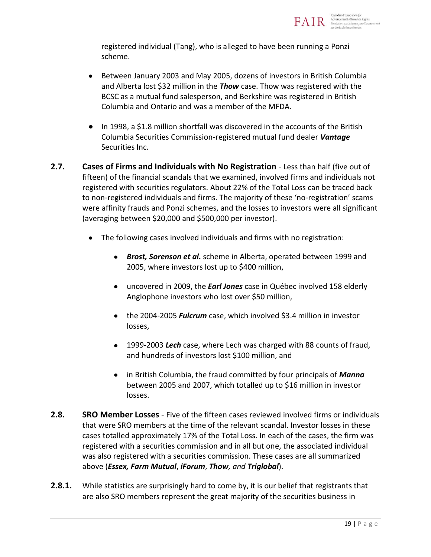

registered individual (Tang), who is alleged to have been running a Ponzi scheme.

- Between January 2003 and May 2005, dozens of investors in British Columbia  $\bullet$ and Alberta lost \$32 million in the *Thow* case. Thow was registered with the BCSC as a mutual fund salesperson, and Berkshire was registered in British Columbia and Ontario and was a member of the MFDA.
- In 1998, a \$1.8 million shortfall was discovered in the accounts of the British Columbia Securities Commission-registered mutual fund dealer *Vantage* Securities Inc.
- **2.7. Cases of Firms and Individuals with No Registration** Less than half (five out of fifteen) of the financial scandals that we examined, involved firms and individuals not registered with securities regulators. About 22% of the Total Loss can be traced back to non-registered individuals and firms. The majority of these 'no-registration' scams were affinity frauds and Ponzi schemes, and the losses to investors were all significant (averaging between \$20,000 and \$500,000 per investor).
	- The following cases involved individuals and firms with no registration:
		- *Brost, Sorenson et al.* scheme in Alberta, operated between 1999 and 2005, where investors lost up to \$400 million,
		- uncovered in 2009, the *Earl Jones* case in Québec involved 158 elderly Anglophone investors who lost over \$50 million,
		- the 2004-2005 *Fulcrum* case, which involved \$3.4 million in investor losses,
		- 1999-2003 *Lech* case, where Lech was charged with 88 counts of fraud, and hundreds of investors lost \$100 million, and
		- in British Columbia, the fraud committed by four principals of *Manna* between 2005 and 2007, which totalled up to \$16 million in investor losses.
- **2.8. SRO Member Losses** Five of the fifteen cases reviewed involved firms or individuals that were SRO members at the time of the relevant scandal. Investor losses in these cases totalled approximately 17% of the Total Loss. In each of the cases, the firm was registered with a securities commission and in all but one, the associated individual was also registered with a securities commission. These cases are all summarized above (*Essex, Farm Mutual*, *iForum*, *Thow, and Triglobal*).
- **2.8.1.** While statistics are surprisingly hard to come by, it is our belief that registrants that are also SRO members represent the great majority of the securities business in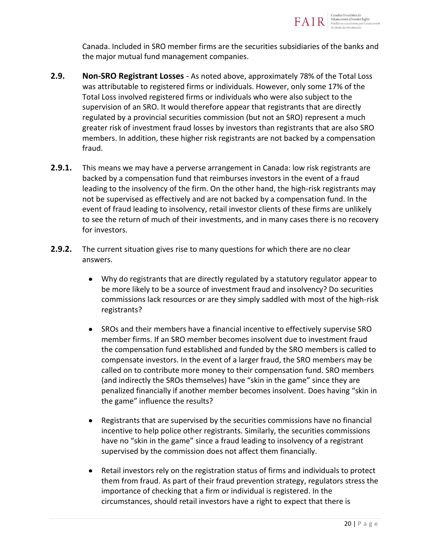

Canada. Included in SRO member firms are the securities subsidiaries of the banks and the major mutual fund management companies.

- **2.9. Non-SRO Registrant Losses** As noted above, approximately 78% of the Total Loss was attributable to registered firms or individuals. However, only some 17% of the Total Loss involved registered firms or individuals who were also subject to the supervision of an SRO. It would therefore appear that registrants that are directly regulated by a provincial securities commission (but not an SRO) represent a much greater risk of investment fraud losses by investors than registrants that are also SRO members. In addition, these higher risk registrants are not backed by a compensation fraud.
- **2.9.1.** This means we may have a perverse arrangement in Canada: low risk registrants are backed by a compensation fund that reimburses investors in the event of a fraud leading to the insolvency of the firm. On the other hand, the high-risk registrants may not be supervised as effectively and are not backed by a compensation fund. In the event of fraud leading to insolvency, retail investor clients of these firms are unlikely to see the return of much of their investments, and in many cases there is no recovery for investors.
- **2.9.2.** The current situation gives rise to many questions for which there are no clear answers.
	- $\bullet$ Why do registrants that are directly regulated by a statutory regulator appear to be more likely to be a source of investment fraud and insolvency? Do securities commissions lack resources or are they simply saddled with most of the high-risk registrants?
	- $\bullet$ SROs and their members have a financial incentive to effectively supervise SRO member firms. If an SRO member becomes insolvent due to investment fraud the compensation fund established and funded by the SRO members is called to compensate investors. In the event of a larger fraud, the SRO members may be called on to contribute more money to their compensation fund. SRO members (and indirectly the SROs themselves) have "skin in the game" since they are penalized financially if another member becomes insolvent. Does having "skin in the game" influence the results?
	- $\bullet$ Registrants that are supervised by the securities commissions have no financial incentive to help police other registrants. Similarly, the securities commissions have no "skin in the game" since a fraud leading to insolvency of a registrant supervised by the commission does not affect them financially.
	- Retail investors rely on the registration status of firms and individuals to protect  $\bullet$ them from fraud. As part of their fraud prevention strategy, regulators stress the importance of checking that a firm or individual is registered. In the circumstances, should retail investors have a right to expect that there is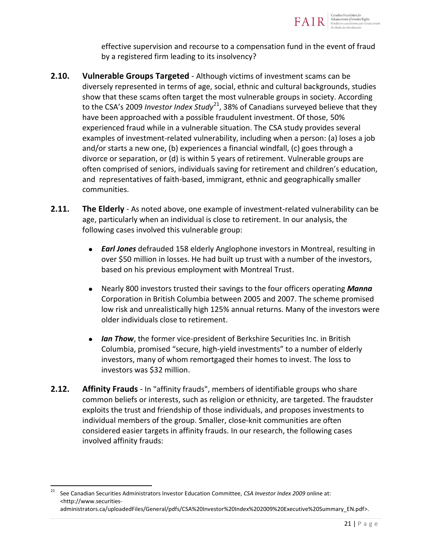

effective supervision and recourse to a compensation fund in the event of fraud by a registered firm leading to its insolvency?

- **2.10. Vulnerable Groups Targeted** Although victims of investment scams can be diversely represented in terms of age, social, ethnic and cultural backgrounds, studies show that these scams often target the most vulnerable groups in society. According to the CSA's 2009 *Investor Index Study*<sup>21</sup>, 38% of Canadians surveyed believe that they have been approached with a possible fraudulent investment. Of those, 50% experienced fraud while in a vulnerable situation. The CSA study provides several examples of investment-related vulnerability, including when a person: (a) loses a job and/or starts a new one, (b) experiences a financial windfall, (c) goes through a divorce or separation, or (d) is within 5 years of retirement. Vulnerable groups are often comprised of seniors, individuals saving for retirement and children's education, and representatives of faith-based, immigrant, ethnic and geographically smaller communities.
- **2.11. The Elderly** As noted above, one example of investment-related vulnerability can be age, particularly when an individual is close to retirement. In our analysis, the following cases involved this vulnerable group:
	- $\bullet$ *Earl Jones* defrauded 158 elderly Anglophone investors in Montreal, resulting in over \$50 million in losses. He had built up trust with a number of the investors, based on his previous employment with Montreal Trust.
	- $\bullet$ Nearly 800 investors trusted their savings to the four officers operating *Manna*  Corporation in British Columbia between 2005 and 2007. The scheme promised low risk and unrealistically high 125% annual returns. Many of the investors were older individuals close to retirement.
	- *Ian Thow*, the former vice-president of Berkshire Securities Inc. in British  $\bullet$ Columbia, promised "secure, high-yield investments" to a number of elderly investors, many of whom remortgaged their homes to invest. The loss to investors was \$32 million.
- **2.12. Affinity Frauds** In "affinity frauds", members of identifiable groups who share common beliefs or interests, such as religion or ethnicity, are targeted. The fraudster exploits the trust and friendship of those individuals, and proposes investments to individual members of the group. Smaller, close-knit communities are often considered easier targets in affinity frauds. In our research, the following cases involved affinity frauds:

 $\frac{1}{21}$  See Canadian Securities Administrators Investor Education Committee, *CSA Investor Index 2009* online at: [<http://www.securities-](http://www.securities-administrators.ca/uploadedFiles/General/pdfs/CSA%20Investor%20Index%202009%20Executive%20Summary_EN.pdf)

[administrators.ca/uploadedFiles/General/pdfs/CSA%20Investor%20Index%202009%20Executive%20Summary\\_EN.pdf>](http://www.securities-administrators.ca/uploadedFiles/General/pdfs/CSA%20Investor%20Index%202009%20Executive%20Summary_EN.pdf).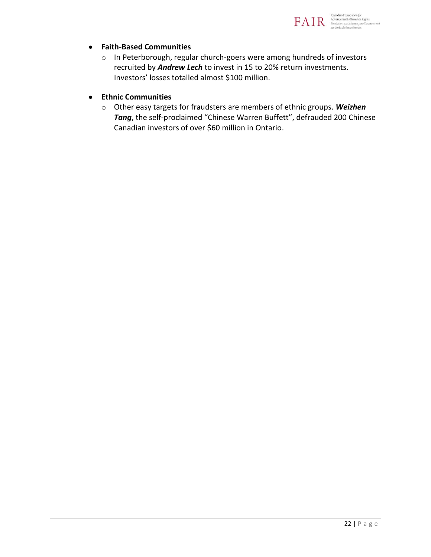

#### **Faith-Based Communities**  $\bullet$

o In Peterborough, regular church-goers were among hundreds of investors recruited by *Andrew Lech* to invest in 15 to 20% return investments. Investors' losses totalled almost \$100 million.

#### **Ethnic Communities**  $\bullet$

o Other easy targets for fraudsters are members of ethnic groups. *Weizhen Tang*, the self-proclaimed "Chinese Warren Buffett", defrauded 200 Chinese Canadian investors of over \$60 million in Ontario.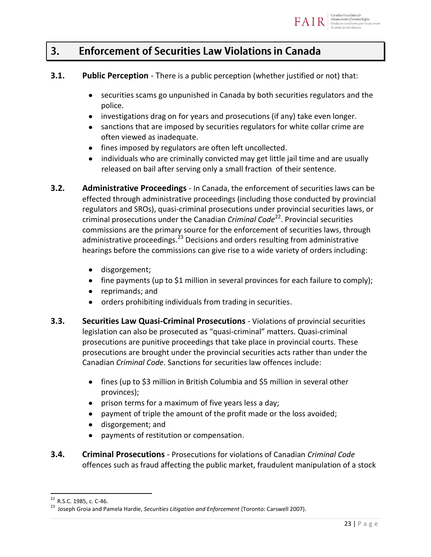- **3.1.** Public Perception There is a public perception (whether justified or not) that:
	- $\bullet$ securities scams go unpunished in Canada by both securities regulators and the police.
	- investigations drag on for years and prosecutions (if any) take even longer.
	- $\bullet$ sanctions that are imposed by securities regulators for white collar crime are often viewed as inadequate.
	- fines imposed by regulators are often left uncollected.
	- individuals who are criminally convicted may get little jail time and are usually  $\bullet$ released on bail after serving only a small fraction of their sentence.
- **3.2. Administrative Proceedings** In Canada, the enforcement of securities laws can be effected through administrative proceedings (including those conducted by provincial regulators and SROs), quasi-criminal prosecutions under provincial securities laws, or criminal prosecutions under the Canadian *Criminal Code*<sup>22</sup>. Provincial securities commissions are the primary source for the enforcement of securities laws, through administrative proceedings.<sup>23</sup> Decisions and orders resulting from administrative hearings before the commissions can give rise to a wide variety of orders including:
	- disgorgement;  $\bullet$
	- fine payments (up to \$1 million in several provinces for each failure to comply);
	- reprimands; and  $\bullet$
	- orders prohibiting individuals from trading in securities.  $\bullet$
- **3.3. Securities Law Quasi-Criminal Prosecutions** Violations of provincial securities legislation can also be prosecuted as "quasi-criminal" matters. Quasi-criminal prosecutions are punitive proceedings that take place in provincial courts. These prosecutions are brought under the provincial securities acts rather than under the Canadian *Criminal Code*. Sanctions for securities law offences include:
	- fines (up to \$3 million in British Columbia and \$5 million in several other provinces);
	- $\bullet$ prison terms for a maximum of five years less a day;
	- payment of triple the amount of the profit made or the loss avoided;  $\bullet$
	- $\bullet$ disgorgement; and
	- payments of restitution or compensation.  $\bullet$
- **3.4. Criminal Prosecutions** Prosecutions for violations of Canadian *Criminal Code* offences such as fraud affecting the public market, fraudulent manipulation of a stock

<sup>&</sup>lt;sup>22</sup> R.S.C. 1985, c. C-46.

<sup>23</sup> Joseph Groia and Pamela Hardie, *Securities Litigation and Enforcement* (Toronto: Carswell 2007).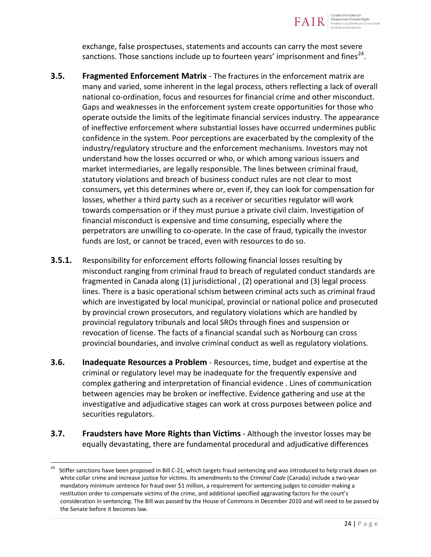

exchange, false prospectuses, statements and accounts can carry the most severe sanctions. Those sanctions include up to fourteen years' imprisonment and fines<sup>24</sup>.

- **3.5. Fragmented Enforcement Matrix** The fractures in the enforcement matrix are many and varied, some inherent in the legal process, others reflecting a lack of overall national co-ordination, focus and resources for financial crime and other misconduct. Gaps and weaknesses in the enforcement system create opportunities for those who operate outside the limits of the legitimate financial services industry. The appearance of ineffective enforcement where substantial losses have occurred undermines public confidence in the system. Poor perceptions are exacerbated by the complexity of the industry/regulatory structure and the enforcement mechanisms. Investors may not understand how the losses occurred or who, or which among various issuers and market intermediaries, are legally responsible. The lines between criminal fraud, statutory violations and breach of business conduct rules are not clear to most consumers, yet this determines where or, even if, they can look for compensation for losses, whether a third party such as a receiver or securities regulator will work towards compensation or if they must pursue a private civil claim. Investigation of financial misconduct is expensive and time consuming, especially where the perpetrators are unwilling to co-operate. In the case of fraud, typically the investor funds are lost, or cannot be traced, even with resources to do so.
- **3.5.1.** Responsibility for enforcement efforts following financial losses resulting by misconduct ranging from criminal fraud to breach of regulated conduct standards are fragmented in Canada along (1) jurisdictional , (2) operational and (3) legal process lines. There is a basic operational schism between criminal acts such as criminal fraud which are investigated by local municipal, provincial or national police and prosecuted by provincial crown prosecutors, and regulatory violations which are handled by provincial regulatory tribunals and local SROs through fines and suspension or revocation of license. The facts of a financial scandal such as Norbourg can cross provincial boundaries, and involve criminal conduct as well as regulatory violations.
- **3.6. Inadequate Resources a Problem** Resources, time, budget and expertise at the criminal or regulatory level may be inadequate for the frequently expensive and complex gathering and interpretation of financial evidence . Lines of communication between agencies may be broken or ineffective. Evidence gathering and use at the investigative and adjudicative stages can work at cross purposes between police and securities regulators.
- **3.7. Fraudsters have More Rights than Victims** Although the investor losses may be equally devastating, there are fundamental procedural and adjudicative differences

<sup>24</sup> Stiffer sanctions have been proposed in Bill C-21, which targets fraud sentencing and was introduced to help crack down on white collar crime and increase justice for victims. Its amendments to the *Criminal Code* (Canada) include a two-year mandatory minimum sentence for fraud over \$1 million, a requirement for sentencing judges to consider making a restitution order to compensate victims of the crime, and additional specified aggravating factors for the court's consideration in sentencing. The Bill was passed by the House of Commons in December 2010 and will need to be passed by the Senate before it becomes law.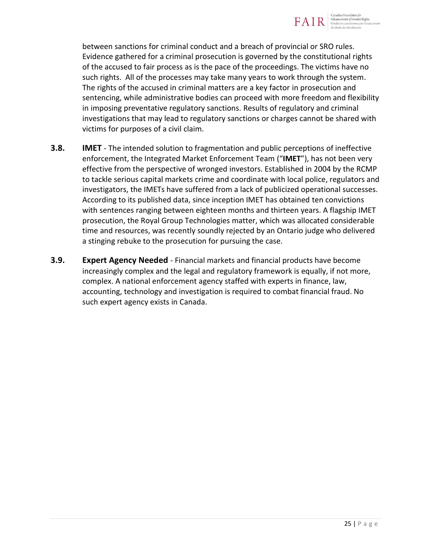

between sanctions for criminal conduct and a breach of provincial or SRO rules. Evidence gathered for a criminal prosecution is governed by the constitutional rights of the accused to fair process as is the pace of the proceedings. The victims have no such rights. All of the processes may take many years to work through the system. The rights of the accused in criminal matters are a key factor in prosecution and sentencing, while administrative bodies can proceed with more freedom and flexibility in imposing preventative regulatory sanctions. Results of regulatory and criminal investigations that may lead to regulatory sanctions or charges cannot be shared with victims for purposes of a civil claim.

- **3.8. IMET** The intended solution to fragmentation and public perceptions of ineffective enforcement, the Integrated Market Enforcement Team ("**IMET**"), has not been very effective from the perspective of wronged investors. Established in 2004 by the RCMP to tackle serious capital markets crime and coordinate with local police, regulators and investigators, the IMETs have suffered from a lack of publicized operational successes. According to its published data, since inception IMET has obtained ten convictions with sentences ranging between eighteen months and thirteen years. A flagship IMET prosecution, the Royal Group Technologies matter, which was allocated considerable time and resources, was recently soundly rejected by an Ontario judge who delivered a stinging rebuke to the prosecution for pursuing the case.
- **3.9. Expert Agency Needed** Financial markets and financial products have become increasingly complex and the legal and regulatory framework is equally, if not more, complex. A national enforcement agency staffed with experts in finance, law, accounting, technology and investigation is required to combat financial fraud. No such expert agency exists in Canada.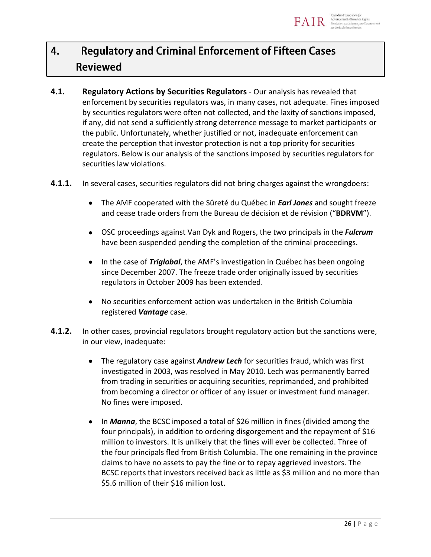

### **Regulatory and Criminal Enforcement of Fifteen Cases** 4. **Reviewed**

- **4.1. Regulatory Actions by Securities Regulators** Our analysis has revealed that enforcement by securities regulators was, in many cases, not adequate. Fines imposed by securities regulators were often not collected, and the laxity of sanctions imposed, if any, did not send a sufficiently strong deterrence message to market participants or the public. Unfortunately, whether justified or not, inadequate enforcement can create the perception that investor protection is not a top priority for securities regulators. Below is our analysis of the sanctions imposed by securities regulators for securities law violations.
- **4.1.1.** In several cases, securities regulators did not bring charges against the wrongdoers:
	- The AMF cooperated with the Sûreté du Québec in *Earl Jones* and sought freeze  $\bullet$ and cease trade orders from the Bureau de décision et de révision ("**BDRVM**").
	- $\bullet$ OSC proceedings against Van Dyk and Rogers, the two principals in the *Fulcrum* have been suspended pending the completion of the criminal proceedings.
	- $\bullet$ In the case of *Triglobal*, the AMF's investigation in Québec has been ongoing since December 2007. The freeze trade order originally issued by securities regulators in October 2009 has been extended.
	- No securities enforcement action was undertaken in the British Columbia  $\bullet$ registered *Vantage* case.
- **4.1.2.** In other cases, provincial regulators brought regulatory action but the sanctions were, in our view, inadequate:
	- The regulatory case against *Andrew Lech* for securities fraud, which was first  $\bullet$ investigated in 2003, was resolved in May 2010. Lech was permanently barred from trading in securities or acquiring securities, reprimanded, and prohibited from becoming a director or officer of any issuer or investment fund manager. No fines were imposed.
	- In *Manna*, the BCSC imposed a total of \$26 million in fines (divided among the  $\bullet$ four principals), in addition to ordering disgorgement and the repayment of \$16 million to investors. It is unlikely that the fines will ever be collected. Three of the four principals fled from British Columbia. The one remaining in the province claims to have no assets to pay the fine or to repay aggrieved investors. The BCSC reports that investors received back as little as \$3 million and no more than \$5.6 million of their \$16 million lost.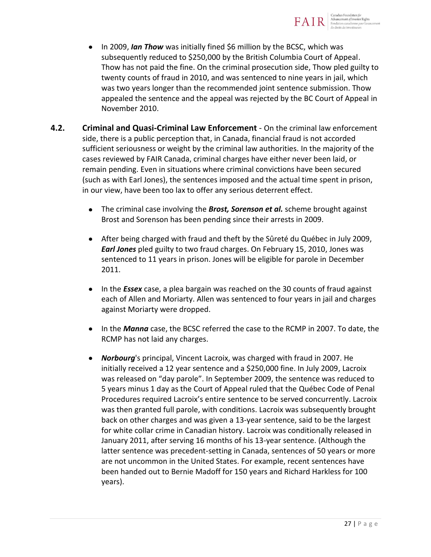

- $\bullet$ In 2009, *Ian Thow* was initially fined \$6 million by the BCSC, which was subsequently reduced to \$250,000 by the British Columbia Court of Appeal. Thow has not paid the fine. On the criminal prosecution side, Thow pled guilty to twenty counts of fraud in 2010, and was sentenced to nine years in jail, which was two years longer than the recommended joint sentence submission. Thow appealed the sentence and the appeal was rejected by the BC Court of Appeal in November 2010.
- **4.2. Criminal and Quasi-Criminal Law Enforcement** On the criminal law enforcement side, there is a public perception that, in Canada, financial fraud is not accorded sufficient seriousness or weight by the criminal law authorities. In the majority of the cases reviewed by FAIR Canada, criminal charges have either never been laid, or remain pending. Even in situations where criminal convictions have been secured (such as with Earl Jones), the sentences imposed and the actual time spent in prison, in our view, have been too lax to offer any serious deterrent effect.
	- $\bullet$ The criminal case involving the *Brost, Sorenson et al.* scheme brought against Brost and Sorenson has been pending since their arrests in 2009.
	- After being charged with fraud and theft by the Sûreté du Québec in July 2009, *Earl Jones* pled guilty to two fraud charges. On February 15, 2010, Jones was sentenced to 11 years in prison. Jones will be eligible for parole in December 2011.
	- In the *Essex* case, a plea bargain was reached on the 30 counts of fraud against each of Allen and Moriarty. Allen was sentenced to four years in jail and charges against Moriarty were dropped.
	- $\bullet$ In the *Manna* case, the BCSC referred the case to the RCMP in 2007. To date, the RCMP has not laid any charges.
	- *Norbourg*'s principal, Vincent Lacroix, was charged with fraud in 2007. He  $\bullet$ initially received a 12 year sentence and a \$250,000 fine. In July 2009, Lacroix was released on "day parole". In September 2009, the sentence was reduced to 5 years minus 1 day as the Court of Appeal ruled that the Québec Code of Penal Procedures required Lacroix's entire sentence to be served concurrently. Lacroix was then granted full parole, with conditions. Lacroix was subsequently brought back on other charges and was given a 13-year sentence, said to be the largest for white collar crime in Canadian history. Lacroix was conditionally released in January 2011, after serving 16 months of his 13-year sentence. (Although the latter sentence was precedent-setting in Canada, sentences of 50 years or more are not uncommon in the United States. For example, recent sentences have been handed out to Bernie Madoff for 150 years and Richard Harkless for 100 years).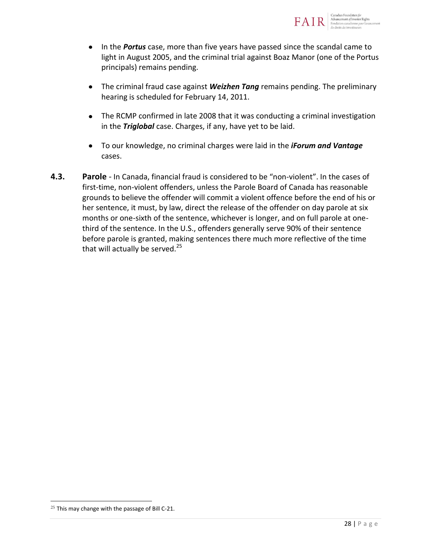

- The criminal fraud case against *Weizhen Tang* remains pending. The preliminary  $\bullet$ hearing is scheduled for February 14, 2011.
- The RCMP confirmed in late 2008 that it was conducting a criminal investigation  $\bullet$ in the *Triglobal* case. Charges, if any, have yet to be laid.
- To our knowledge, no criminal charges were laid in the *iForum and Vantage*  $\bullet$ cases.
- **4.3. Parole** In Canada, financial fraud is considered to be "non-violent". In the cases of first-time, non-violent offenders, unless the Parole Board of Canada has reasonable grounds to believe the offender will commit a violent offence before the end of his or her sentence, it must, by law, direct the release of the offender on day parole at six months or one-sixth of the sentence, whichever is longer, and on full parole at onethird of the sentence. In the U.S., offenders generally serve 90% of their sentence before parole is granted, making sentences there much more reflective of the time that will actually be served. $25$

 $25$  This may change with the passage of Bill C-21.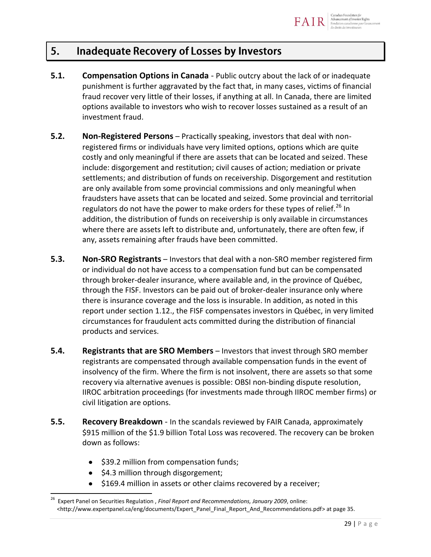### **Inadequate Recovery of Losses by Investors** 5.

- **5.1. Compensation Options in Canada** Public outcry about the lack of or inadequate punishment is further aggravated by the fact that, in many cases, victims of financial fraud recover very little of their losses, if anything at all. In Canada, there are limited options available to investors who wish to recover losses sustained as a result of an investment fraud.
- **5.2. Non-Registered Persons** Practically speaking, investors that deal with nonregistered firms or individuals have very limited options, options which are quite costly and only meaningful if there are assets that can be located and seized. These include: disgorgement and restitution; civil causes of action; mediation or private settlements; and distribution of funds on receivership. Disgorgement and restitution are only available from some provincial commissions and only meaningful when fraudsters have assets that can be located and seized. Some provincial and territorial regulators do not have the power to make orders for these types of relief.<sup>26</sup> In addition, the distribution of funds on receivership is only available in circumstances where there are assets left to distribute and, unfortunately, there are often few, if any, assets remaining after frauds have been committed.
- **5.3. Non-SRO Registrants** Investors that deal with a non-SRO member registered firm or individual do not have access to a compensation fund but can be compensated through broker-dealer insurance, where available and, in the province of Québec, through the FISF. Investors can be paid out of broker-dealer insurance only where there is insurance coverage and the loss is insurable. In addition, as noted in this report under section 1.12., the FISF compensates investors in Québec, in very limited circumstances for fraudulent acts committed during the distribution of financial products and services.
- **5.4. Registrants that are SRO Members** Investors that invest through SRO member registrants are compensated through available compensation funds in the event of insolvency of the firm. Where the firm is not insolvent, there are assets so that some recovery via alternative avenues is possible: OBSI non-binding dispute resolution, IIROC arbitration proceedings (for investments made through IIROC member firms) or civil litigation are options.
- **5.5. Recovery Breakdown** In the scandals reviewed by FAIR Canada, approximately \$915 million of the \$1.9 billion Total Loss was recovered. The recovery can be broken down as follows:
	- \$39.2 million from compensation funds;  $\bullet$
	- \$4.3 million through disgorgement;

 $\overline{a}$ 

\$169.4 million in assets or other claims recovered by a receiver;

<sup>&</sup>lt;sup>26</sup> Expert Panel on Securities Regulation , Final Report and Recommendations, January 2009, online: <http://www.expertpanel.ca/eng/documents/Expert\_Panel\_Final\_Report\_And\_Recommendations.pdf> at page 35.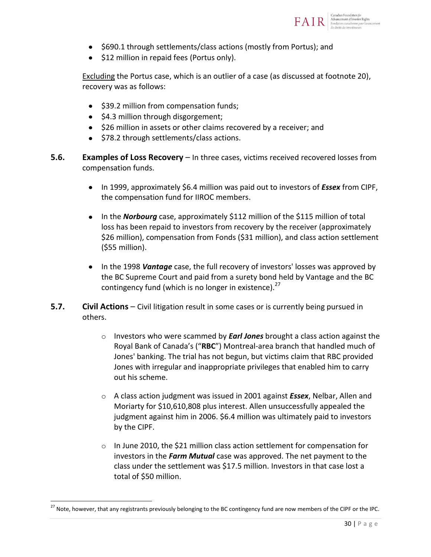

- \$690.1 through settlements/class actions (mostly from Portus); and
- \$12 million in repaid fees (Portus only).

Excluding the Portus case, which is an outlier of a case (as discussed at footnote 20), recovery was as follows:

- \$39.2 million from compensation funds;
- $\bullet$  \$4.3 million through disgorgement;
- \$26 million in assets or other claims recovered by a receiver; and
- \$78.2 through settlements/class actions.
- **5.6. Examples of Loss Recovery** In three cases, victims received recovered losses from compensation funds.
	- In 1999, approximately \$6.4 million was paid out to investors of *Essex* from CIPF, the compensation fund for IIROC members.
	- In the *Norbourg* case, approximately \$112 million of the \$115 million of total loss has been repaid to investors from recovery by the receiver (approximately \$26 million), compensation from Fonds (\$31 million), and class action settlement (\$55 million).
	- In the 1998 *Vantage* case, the full recovery of investors' losses was approved by the BC Supreme Court and paid from a surety bond held by Vantage and the BC contingency fund (which is no longer in existence). $27$
- **5.7. Civil Actions** Civil litigation result in some cases or is currently being pursued in others.
	- o Investors who were scammed by *Earl Jones* brought a class action against the Royal Bank of Canada's ("**RBC**") Montreal-area branch that handled much of Jones' banking. The trial has not begun, but victims claim that RBC provided Jones with irregular and inappropriate privileges that enabled him to carry out his scheme.
	- o A class action judgment was issued in 2001 against *Essex*, Nelbar, Allen and Moriarty for \$10,610,808 plus interest. Allen unsuccessfully appealed the judgment against him in 2006. \$6.4 million was ultimately paid to investors by the CIPF.
	- $\circ$  In June 2010, the \$21 million class action settlement for compensation for investors in the *Farm Mutual* case was approved. The net payment to the class under the settlement was \$17.5 million. Investors in that case lost a total of \$50 million.

<sup>&</sup>lt;sup>27</sup> Note, however, that any registrants previously belonging to the BC contingency fund are now members of the CIPF or the IPC.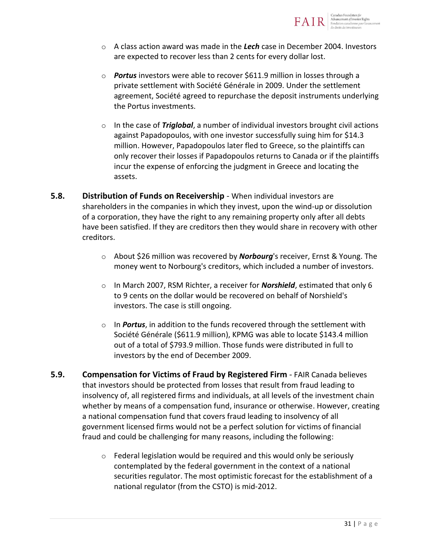

- o A class action award was made in the *Lech* case in December 2004. Investors are expected to recover less than 2 cents for every dollar lost.
- o *Portus* investors were able to recover \$611.9 million in losses through a private settlement with Société Générale in 2009. Under the settlement agreement, Société agreed to repurchase the deposit instruments underlying the Portus investments.
- o In the case of *Triglobal*, a number of individual investors brought civil actions against Papadopoulos, with one investor successfully suing him for \$14.3 million. However, Papadopoulos later fled to Greece, so the plaintiffs can only recover their losses if Papadopoulos returns to Canada or if the plaintiffs incur the expense of enforcing the judgment in Greece and locating the assets.
- **5.8. Distribution of Funds on Receivership** When individual investors are shareholders in the companies in which they invest, upon the wind-up or dissolution of a corporation, they have the right to any remaining property only after all debts have been satisfied. If they are creditors then they would share in recovery with other creditors.
	- o About \$26 million was recovered by *Norbourg*'s receiver, Ernst & Young. The money went to Norbourg's creditors, which included a number of investors.
	- o In March 2007, RSM Richter, a receiver for *Norshield*, estimated that only 6 to 9 cents on the dollar would be recovered on behalf of Norshield's investors. The case is still ongoing.
	- o In *Portus*, in addition to the funds recovered through the settlement with Société Générale (\$611.9 million), KPMG was able to locate \$143.4 million out of a total of \$793.9 million. Those funds were distributed in full to investors by the end of December 2009.
- **5.9. Compensation for Victims of Fraud by Registered Firm** FAIR Canada believes that investors should be protected from losses that result from fraud leading to insolvency of, all registered firms and individuals, at all levels of the investment chain whether by means of a compensation fund, insurance or otherwise. However, creating a national compensation fund that covers fraud leading to insolvency of all government licensed firms would not be a perfect solution for victims of financial fraud and could be challenging for many reasons, including the following:
	- o Federal legislation would be required and this would only be seriously contemplated by the federal government in the context of a national securities regulator. The most optimistic forecast for the establishment of a national regulator (from the CSTO) is mid-2012.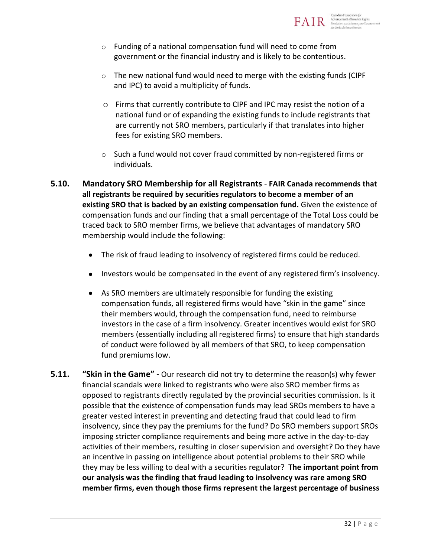

- o Funding of a national compensation fund will need to come from government or the financial industry and is likely to be contentious.
- $\circ$  The new national fund would need to merge with the existing funds (CIPF) and IPC) to avoid a multiplicity of funds.
- o Firms that currently contribute to CIPF and IPC may resist the notion of a national fund or of expanding the existing funds to include registrants that are currently not SRO members, particularly if that translates into higher fees for existing SRO members.
- o Such a fund would not cover fraud committed by non-registered firms or individuals.
- **5.10. Mandatory SRO Membership for all Registrants FAIR Canada recommends that all registrants be required by securities regulators to become a member of an existing SRO that is backed by an existing compensation fund.** Given the existence of compensation funds and our finding that a small percentage of the Total Loss could be traced back to SRO member firms, we believe that advantages of mandatory SRO membership would include the following:
	- The risk of fraud leading to insolvency of registered firms could be reduced.  $\bullet$
	- Investors would be compensated in the event of any registered firm's insolvency.  $\bullet$
	- $\bullet$ As SRO members are ultimately responsible for funding the existing compensation funds, all registered firms would have "skin in the game" since their members would, through the compensation fund, need to reimburse investors in the case of a firm insolvency. Greater incentives would exist for SRO members (essentially including all registered firms) to ensure that high standards of conduct were followed by all members of that SRO, to keep compensation fund premiums low.
- **5.11. "Skin in the Game"** Our research did not try to determine the reason(s) why fewer financial scandals were linked to registrants who were also SRO member firms as opposed to registrants directly regulated by the provincial securities commission. Is it possible that the existence of compensation funds may lead SROs members to have a greater vested interest in preventing and detecting fraud that could lead to firm insolvency, since they pay the premiums for the fund? Do SRO members support SROs imposing stricter compliance requirements and being more active in the day-to-day activities of their members, resulting in closer supervision and oversight? Do they have an incentive in passing on intelligence about potential problems to their SRO while they may be less willing to deal with a securities regulator? **The important point from our analysis was the finding that fraud leading to insolvency was rare among SRO member firms, even though those firms represent the largest percentage of business**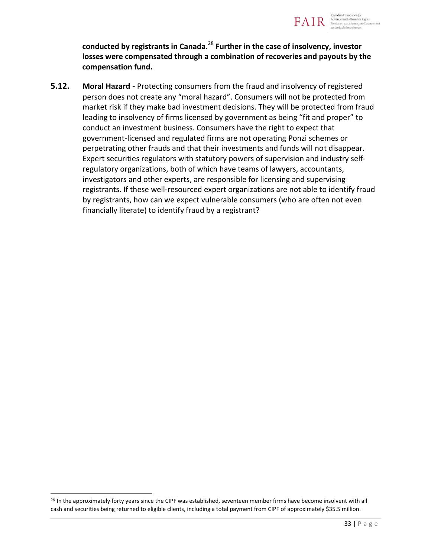

**conducted by registrants in Canada.**<sup>28</sup> **Further in the case of insolvency, investor losses were compensated through a combination of recoveries and payouts by the compensation fund.**

**5.12. Moral Hazard** - Protecting consumers from the fraud and insolvency of registered person does not create any "moral hazard". Consumers will not be protected from market risk if they make bad investment decisions. They will be protected from fraud leading to insolvency of firms licensed by government as being "fit and proper" to conduct an investment business. Consumers have the right to expect that government-licensed and regulated firms are not operating Ponzi schemes or perpetrating other frauds and that their investments and funds will not disappear. Expert securities regulators with statutory powers of supervision and industry selfregulatory organizations, both of which have teams of lawyers, accountants, investigators and other experts, are responsible for licensing and supervising registrants. If these well-resourced expert organizations are not able to identify fraud by registrants, how can we expect vulnerable consumers (who are often not even financially literate) to identify fraud by a registrant?

 $28$  In the approximately forty years since the CIPF was established, seventeen member firms have become insolvent with all cash and securities being returned to eligible clients, including a total payment from CIPF of approximately \$35.5 million.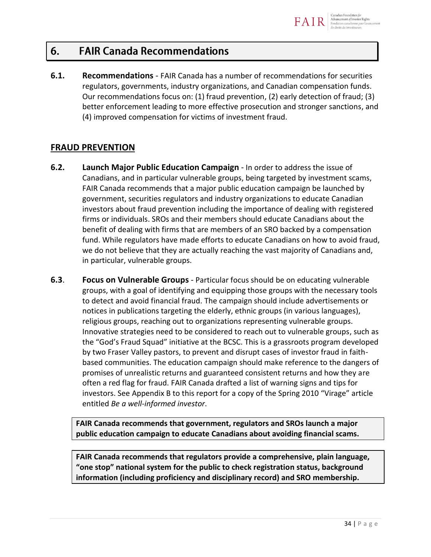#### 6. **FAIR Canada Recommendations**

**6.1. Recommendations** - FAIR Canada has a number of recommendations for securities regulators, governments, industry organizations, and Canadian compensation funds. Our recommendations focus on: (1) fraud prevention, (2) early detection of fraud; (3) better enforcement leading to more effective prosecution and stronger sanctions, and (4) improved compensation for victims of investment fraud.

# **FRAUD PREVENTION**

- **6.2. Launch Major Public Education Campaign** In order to address the issue of Canadians, and in particular vulnerable groups, being targeted by investment scams, FAIR Canada recommends that a major public education campaign be launched by government, securities regulators and industry organizations to educate Canadian investors about fraud prevention including the importance of dealing with registered firms or individuals. SROs and their members should educate Canadians about the benefit of dealing with firms that are members of an SRO backed by a compensation fund. While regulators have made efforts to educate Canadians on how to avoid fraud, we do not believe that they are actually reaching the vast majority of Canadians and, in particular, vulnerable groups.
- **6.3**. **Focus on Vulnerable Groups** Particular focus should be on educating vulnerable groups, with a goal of identifying and equipping those groups with the necessary tools to detect and avoid financial fraud. The campaign should include advertisements or notices in publications targeting the elderly, ethnic groups (in various languages), religious groups, reaching out to organizations representing vulnerable groups. Innovative strategies need to be considered to reach out to vulnerable groups, such as the "God's Fraud Squad" initiative at the BCSC. This is a grassroots program developed by two Fraser Valley pastors, to prevent and disrupt cases of investor fraud in faithbased communities. The education campaign should make reference to the dangers of promises of unrealistic returns and guaranteed consistent returns and how they are often a red flag for fraud. FAIR Canada drafted a list of warning signs and tips for investors. See Appendix B to this report for a copy of the Spring 2010 "Virage" article entitled *Be a well-informed investor*.

**FAIR Canada recommends that government, regulators and SROs launch a major public education campaign to educate Canadians about avoiding financial scams.** 

**FAIR Canada recommends that regulators provide a comprehensive, plain language, "one stop" national system for the public to check registration status, background information (including proficiency and disciplinary record) and SRO membership.**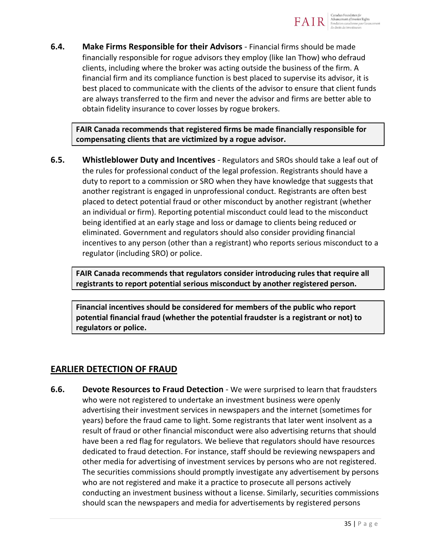

**6.4. Make Firms Responsible for their Advisors** - Financial firms should be made financially responsible for rogue advisors they employ (like Ian Thow) who defraud clients, including where the broker was acting outside the business of the firm. A financial firm and its compliance function is best placed to supervise its advisor, it is best placed to communicate with the clients of the advisor to ensure that client funds are always transferred to the firm and never the advisor and firms are better able to obtain fidelity insurance to cover losses by rogue brokers.

**FAIR Canada recommends that registered firms be made financially responsible for compensating clients that are victimized by a rogue advisor.**

**6.5. Whistleblower Duty and Incentives** - Regulators and SROs should take a leaf out of the rules for professional conduct of the legal profession. Registrants should have a duty to report to a commission or SRO when they have knowledge that suggests that another registrant is engaged in unprofessional conduct. Registrants are often best placed to detect potential fraud or other misconduct by another registrant (whether an individual or firm). Reporting potential misconduct could lead to the misconduct being identified at an early stage and loss or damage to clients being reduced or eliminated. Government and regulators should also consider providing financial incentives to any person (other than a registrant) who reports serious misconduct to a regulator (including SRO) or police.

**FAIR Canada recommends that regulators consider introducing rules that require all registrants to report potential serious misconduct by another registered person.** 

**Financial incentives should be considered for members of the public who report potential financial fraud (whether the potential fraudster is a registrant or not) to regulators or police.** 

# **EARLIER DETECTION OF FRAUD**

**6.6. Devote Resources to Fraud Detection** - We were surprised to learn that fraudsters who were not registered to undertake an investment business were openly advertising their investment services in newspapers and the internet (sometimes for years) before the fraud came to light. Some registrants that later went insolvent as a result of fraud or other financial misconduct were also advertising returns that should have been a red flag for regulators. We believe that regulators should have resources dedicated to fraud detection. For instance, staff should be reviewing newspapers and other media for advertising of investment services by persons who are not registered. The securities commissions should promptly investigate any advertisement by persons who are not registered and make it a practice to prosecute all persons actively conducting an investment business without a license. Similarly, securities commissions should scan the newspapers and media for advertisements by registered persons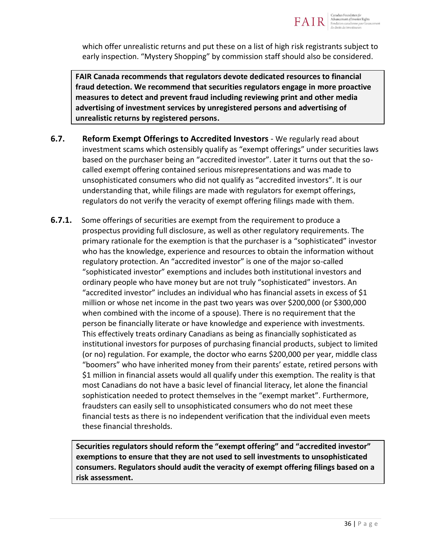

which offer unrealistic returns and put these on a list of high risk registrants subject to early inspection. "Mystery Shopping" by commission staff should also be considered.

**FAIR Canada recommends that regulators devote dedicated resources to financial fraud detection. We recommend that securities regulators engage in more proactive measures to detect and prevent fraud including reviewing print and other media advertising of investment services by unregistered persons and advertising of unrealistic returns by registered persons.** 

- **6.7.** Reform Exempt Offerings to Accredited Investors We regularly read about investment scams which ostensibly qualify as "exempt offerings" under securities laws based on the purchaser being an "accredited investor". Later it turns out that the socalled exempt offering contained serious misrepresentations and was made to unsophisticated consumers who did not qualify as "accredited investors". It is our understanding that, while filings are made with regulators for exempt offerings, regulators do not verify the veracity of exempt offering filings made with them.
- **6.7.1.** Some offerings of securities are exempt from the requirement to produce a prospectus providing full disclosure, as well as other regulatory requirements. The primary rationale for the exemption is that the purchaser is a "sophisticated" investor who has the knowledge, experience and resources to obtain the information without regulatory protection. An "accredited investor" is one of the major so-called "sophisticated investor" exemptions and includes both institutional investors and ordinary people who have money but are not truly "sophisticated" investors. An "accredited investor" includes an individual who has financial assets in excess of \$1 million or whose net income in the past two years was over \$200,000 (or \$300,000 when combined with the income of a spouse). There is no requirement that the person be financially literate or have knowledge and experience with investments. This effectively treats ordinary Canadians as being as financially sophisticated as institutional investors for purposes of purchasing financial products, subject to limited (or no) regulation. For example, the doctor who earns \$200,000 per year, middle class "boomers" who have inherited money from their parents' estate, retired persons with \$1 million in financial assets would all qualify under this exemption. The reality is that most Canadians do not have a basic level of financial literacy, let alone the financial sophistication needed to protect themselves in the "exempt market". Furthermore, fraudsters can easily sell to unsophisticated consumers who do not meet these financial tests as there is no independent verification that the individual even meets these financial thresholds.

**Securities regulators should reform the "exempt offering" and "accredited investor" exemptions to ensure that they are not used to sell investments to unsophisticated consumers. Regulators should audit the veracity of exempt offering filings based on a risk assessment.**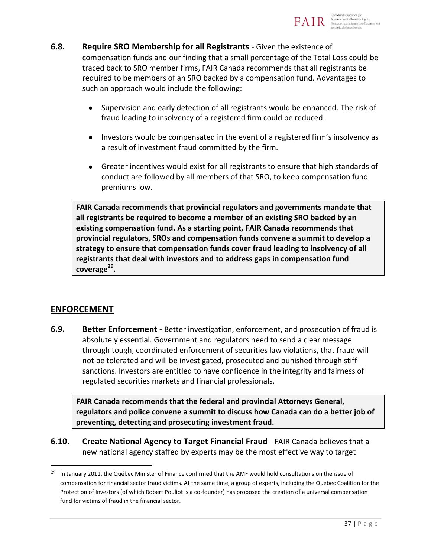

- **6.8. Require SRO Membership for all Registrants** Given the existence of compensation funds and our finding that a small percentage of the Total Loss could be traced back to SRO member firms, FAIR Canada recommends that all registrants be required to be members of an SRO backed by a compensation fund. Advantages to such an approach would include the following:
	- $\bullet$ Supervision and early detection of all registrants would be enhanced. The risk of fraud leading to insolvency of a registered firm could be reduced.
	- Investors would be compensated in the event of a registered firm's insolvency as a result of investment fraud committed by the firm.
	- Greater incentives would exist for all registrants to ensure that high standards of conduct are followed by all members of that SRO, to keep compensation fund premiums low.

**FAIR Canada recommends that provincial regulators and governments mandate that all registrants be required to become a member of an existing SRO backed by an existing compensation fund. As a starting point, FAIR Canada recommends that provincial regulators, SROs and compensation funds convene a summit to develop a strategy to ensure that compensation funds cover fraud leading to insolvency of all registrants that deal with investors and to address gaps in compensation fund coverage<sup>29</sup> .**

# **ENFORCEMENT**

 $\overline{a}$ 

**6.9. Better Enforcement** - Better investigation, enforcement, and prosecution of fraud is absolutely essential. Government and regulators need to send a clear message through tough, coordinated enforcement of securities law violations, that fraud will not be tolerated and will be investigated, prosecuted and punished through stiff sanctions. Investors are entitled to have confidence in the integrity and fairness of regulated securities markets and financial professionals.

**FAIR Canada recommends that the federal and provincial Attorneys General, regulators and police convene a summit to discuss how Canada can do a better job of preventing, detecting and prosecuting investment fraud.** 

**6.10. Create National Agency to Target Financial Fraud** - FAIR Canada believes that a new national agency staffed by experts may be the most effective way to target

 $29$  In January 2011, the Québec Minister of Finance confirmed that the AMF would hold consultations on the issue of compensation for financial sector fraud victims. At the same time, a group of experts, including the Quebec Coalition for the Protection of Investors (of which Robert Pouliot is a co-founder) has proposed the creation of a universal compensation fund for victims of fraud in the financial sector.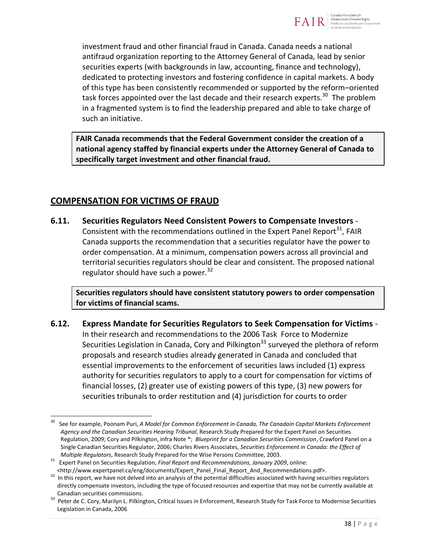

investment fraud and other financial fraud in Canada. Canada needs a national antifraud organization reporting to the Attorney General of Canada, lead by senior securities experts (with backgrounds in law, accounting, finance and technology), dedicated to protecting investors and fostering confidence in capital markets. A body of this type has been consistently recommended or supported by the reform–oriented task forces appointed over the last decade and their research experts.<sup>30</sup> The problem in a fragmented system is to find the leadership prepared and able to take charge of such an initiative.

**FAIR Canada recommends that the Federal Government consider the creation of a national agency staffed by financial experts under the Attorney General of Canada to specifically target investment and other financial fraud.**

# **COMPENSATION FOR VICTIMS OF FRAUD**

 $\overline{a}$ 

**6.11. Securities Regulators Need Consistent Powers to Compensate Investors** - Consistent with the recommendations outlined in the Expert Panel Report<sup>31</sup>, FAIR Canada supports the recommendation that a securities regulator have the power to order compensation. At a minimum, compensation powers across all provincial and territorial securities regulators should be clear and consistent. The proposed national regulator should have such a power. $32$ 

**Securities regulators should have consistent statutory powers to order compensation for victims of financial scams.** 

**6.12. Express Mandate for Securities Regulators to Seek Compensation for Victims** - In their research and recommendations to the 2006 Task Force to Modernize Securities Legislation in Canada, Cory and Pilkington<sup>33</sup> surveyed the plethora of reform proposals and research studies already generated in Canada and concluded that essential improvements to the enforcement of securities laws included (1) express authority for securities regulators to apply to a court for compensation for victims of financial losses, (2) greater use of existing powers of this type, (3) new powers for securities tribunals to order restitution and (4) jurisdiction for courts to order

<sup>30</sup> See for example, Poonam Puri, *A Model for Common Enforcement in Canada, The Canadain Capital Markets Enforcement Agency and the Canadian Securities Hearing Tribunal*, Research Study Prepared for the Expert Panel on Securities Regulation, 2009; Cory and Pilkington, infra Note \*; *Blueprint for a Canadian Securities Commission*, Crawford Panel on a Single Canadian Securities Regulator, 2006; Charles Rivers Associates, *Securities Enforcement in Canada: the Effect of Multiple Regulators*, Research Study Prepared for the Wise Persons Committee, 2003.

<sup>31</sup> Expert Panel on Securities Regulation, *Final Report and Recommendations, January 2009*, online:

<sup>&</sup>lt;http://www.expertpanel.ca/eng/documents/Expert\_Panel\_Final\_Report\_And\_Recommendations.pdf>. <sup>32</sup> In this report, we have not delved into an analysis of the potential difficulties associated with having securities regulators

directly compensate investors, including the type of focused resources and expertise that may not be currently available at Canadian securities commissions.

<sup>33</sup> Peter de C. Cory, Marilyn L. Pilkington, Critical Issues in Enforcement, Research Study for Task Force to Modernise Securities Legislation in Canada, 2006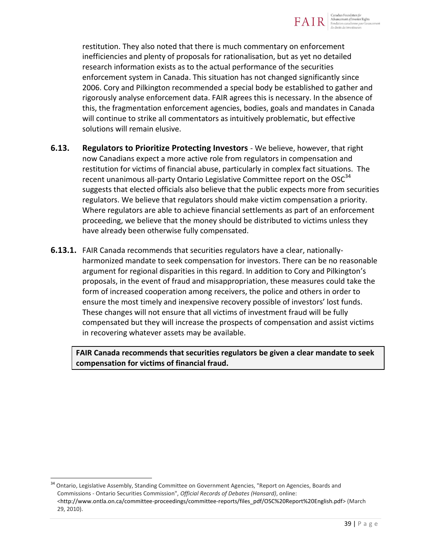

restitution. They also noted that there is much commentary on enforcement inefficiencies and plenty of proposals for rationalisation, but as yet no detailed research information exists as to the actual performance of the securities enforcement system in Canada. This situation has not changed significantly since 2006. Cory and Pilkington recommended a special body be established to gather and rigorously analyse enforcement data. FAIR agrees this is necessary. In the absence of this, the fragmentation enforcement agencies, bodies, goals and mandates in Canada will continue to strike all commentators as intuitively problematic, but effective solutions will remain elusive.

- **6.13. Regulators to Prioritize Protecting Investors**  We believe, however, that right now Canadians expect a more active role from regulators in compensation and restitution for victims of financial abuse, particularly in complex fact situations. The recent unanimous all-party Ontario Legislative Committee report on the  $OSC<sup>34</sup>$ suggests that elected officials also believe that the public expects more from securities regulators. We believe that regulators should make victim compensation a priority. Where regulators are able to achieve financial settlements as part of an enforcement proceeding, we believe that the money should be distributed to victims unless they have already been otherwise fully compensated.
- **6.13.1.** FAIR Canada recommends that securities regulators have a clear, nationallyharmonized mandate to seek compensation for investors. There can be no reasonable argument for regional disparities in this regard. In addition to Cory and Pilkington's proposals, in the event of fraud and misappropriation, these measures could take the form of increased cooperation among receivers, the police and others in order to ensure the most timely and inexpensive recovery possible of investors' lost funds. These changes will not ensure that all victims of investment fraud will be fully compensated but they will increase the prospects of compensation and assist victims in recovering whatever assets may be available.

**FAIR Canada recommends that securities regulators be given a clear mandate to seek compensation for victims of financial fraud.** 

<sup>34</sup> Ontario, Legislative Assembly, Standing Committee on Government Agencies, "Report on Agencies, Boards and Commissions - Ontario Securities Commission", *Official Records of Debates (Hansard)*, online: [<http://www.ontla.on.ca/committee-proceedings/committee-reports/files\\_pdf/OSC%20Report%20English.pdf>](http://www.ontla.on.ca/committee-proceedings/committee-reports/files_pdf/OSC%20Report%20English.pdf) (March 29, 2010).